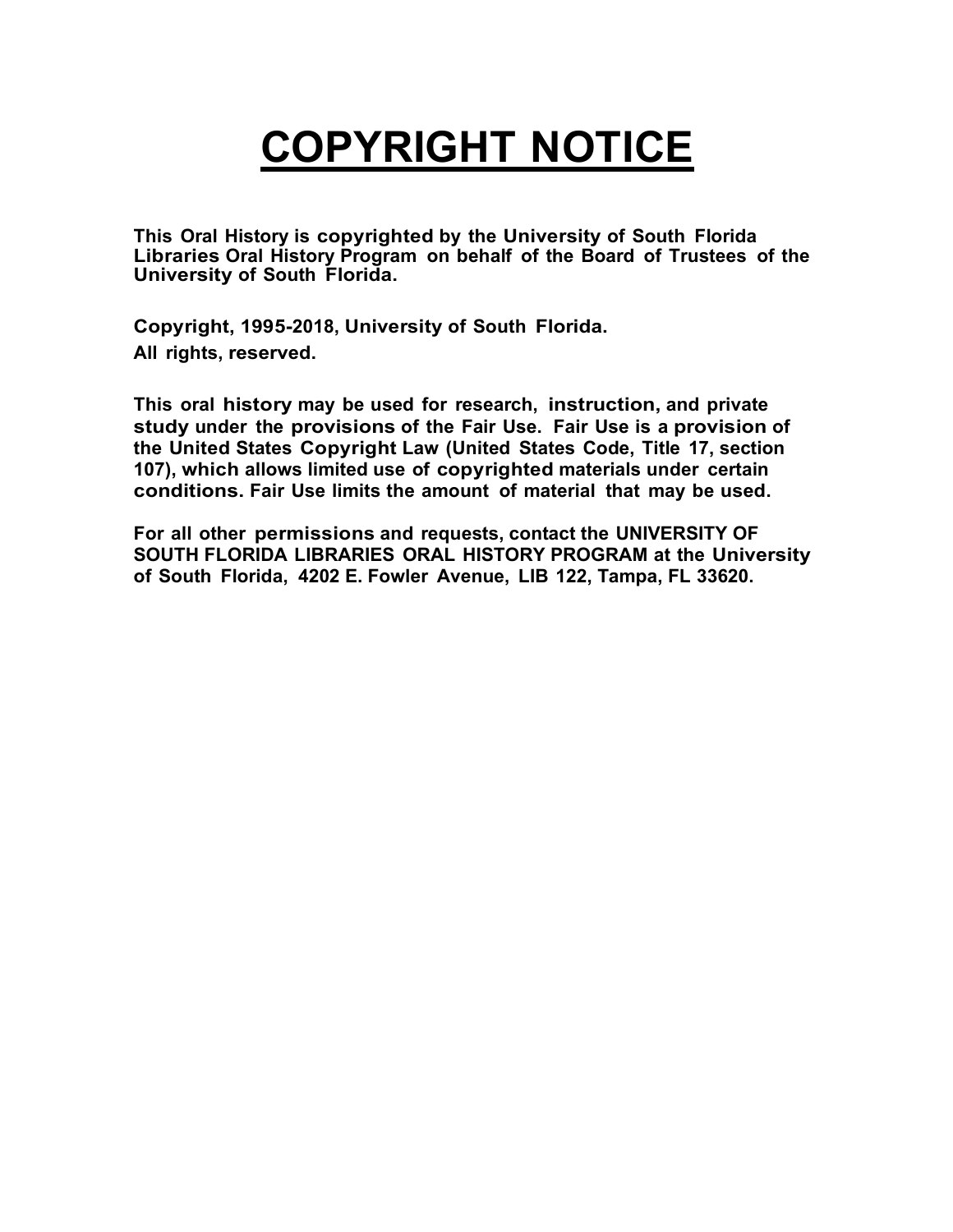## **COPYRIGHT NOTICE**

**This Oral History is copyrighted by the University of South Florida Libraries Oral History Program on behalf of the Board of Trustees of the University of South Florida.**

**Copyright, 1995-2018, University of South Florida. All rights, reserved.**

**This oral history may be used for research, instruction, and private study under the provisions of the Fair Use. Fair Use is a provision of the United States Copyright Law (United States Code, Title 17, section 107), which allows limited use of copyrighted materials under certain conditions. Fair Use limits the amount of material that may be used.**

**For all other permissions and requests, contact the UNIVERSITY OF SOUTH FLORIDA LIBRARIES ORAL HISTORY PROGRAM at the University of South Florida, 4202 E. Fowler Avenue, LIB 122, Tampa, FL 33620.**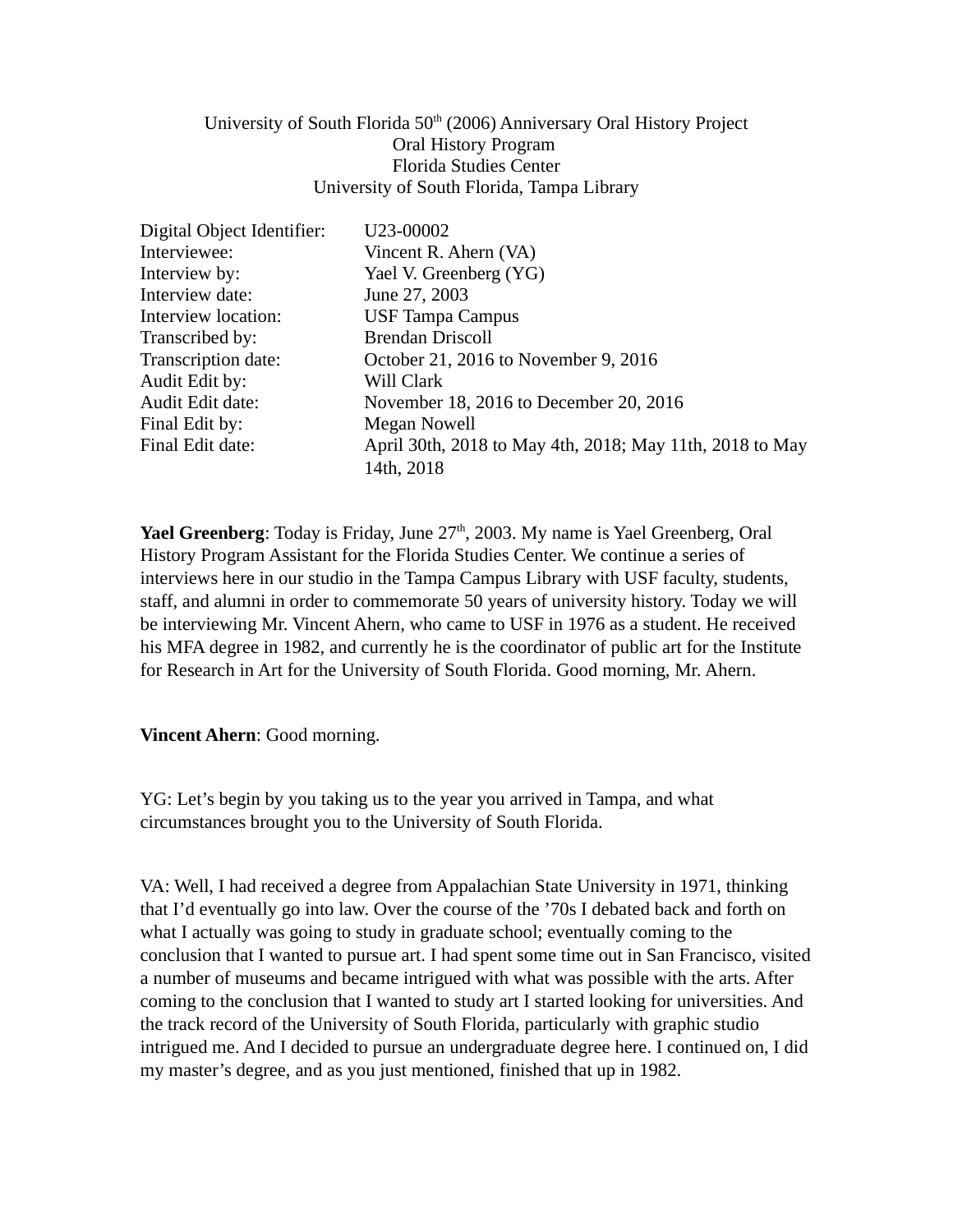## University of South Florida  $50<sup>th</sup>$  (2006) Anniversary Oral History Project Oral History Program Florida Studies Center University of South Florida, Tampa Library

| U23-00002                                                |
|----------------------------------------------------------|
| Vincent R. Ahern (VA)                                    |
| Yael V. Greenberg (YG)                                   |
| June 27, 2003                                            |
| <b>USF Tampa Campus</b>                                  |
| <b>Brendan Driscoll</b>                                  |
| October 21, 2016 to November 9, 2016                     |
| Will Clark                                               |
| November 18, 2016 to December 20, 2016                   |
| Megan Nowell                                             |
| April 30th, 2018 to May 4th, 2018; May 11th, 2018 to May |
| 14th, 2018                                               |
|                                                          |

**Yael Greenberg**: Today is Friday, June 27<sup>th</sup>, 2003. My name is Yael Greenberg, Oral History Program Assistant for the Florida Studies Center. We continue a series of interviews here in our studio in the Tampa Campus Library with USF faculty, students, staff, and alumni in order to commemorate 50 years of university history. Today we will be interviewing Mr. Vincent Ahern, who came to USF in 1976 as a student. He received his MFA degree in 1982, and currently he is the coordinator of public art for the Institute for Research in Art for the University of South Florida. Good morning, Mr. Ahern.

## **Vincent Ahern**: Good morning.

YG: Let's begin by you taking us to the year you arrived in Tampa, and what circumstances brought you to the University of South Florida.

VA: Well, I had received a degree from Appalachian State University in 1971, thinking that I'd eventually go into law. Over the course of the '70s I debated back and forth on what I actually was going to study in graduate school; eventually coming to the conclusion that I wanted to pursue art. I had spent some time out in San Francisco, visited a number of museums and became intrigued with what was possible with the arts. After coming to the conclusion that I wanted to study art I started looking for universities. And the track record of the University of South Florida, particularly with graphic studio intrigued me. And I decided to pursue an undergraduate degree here. I continued on, I did my master's degree, and as you just mentioned, finished that up in 1982.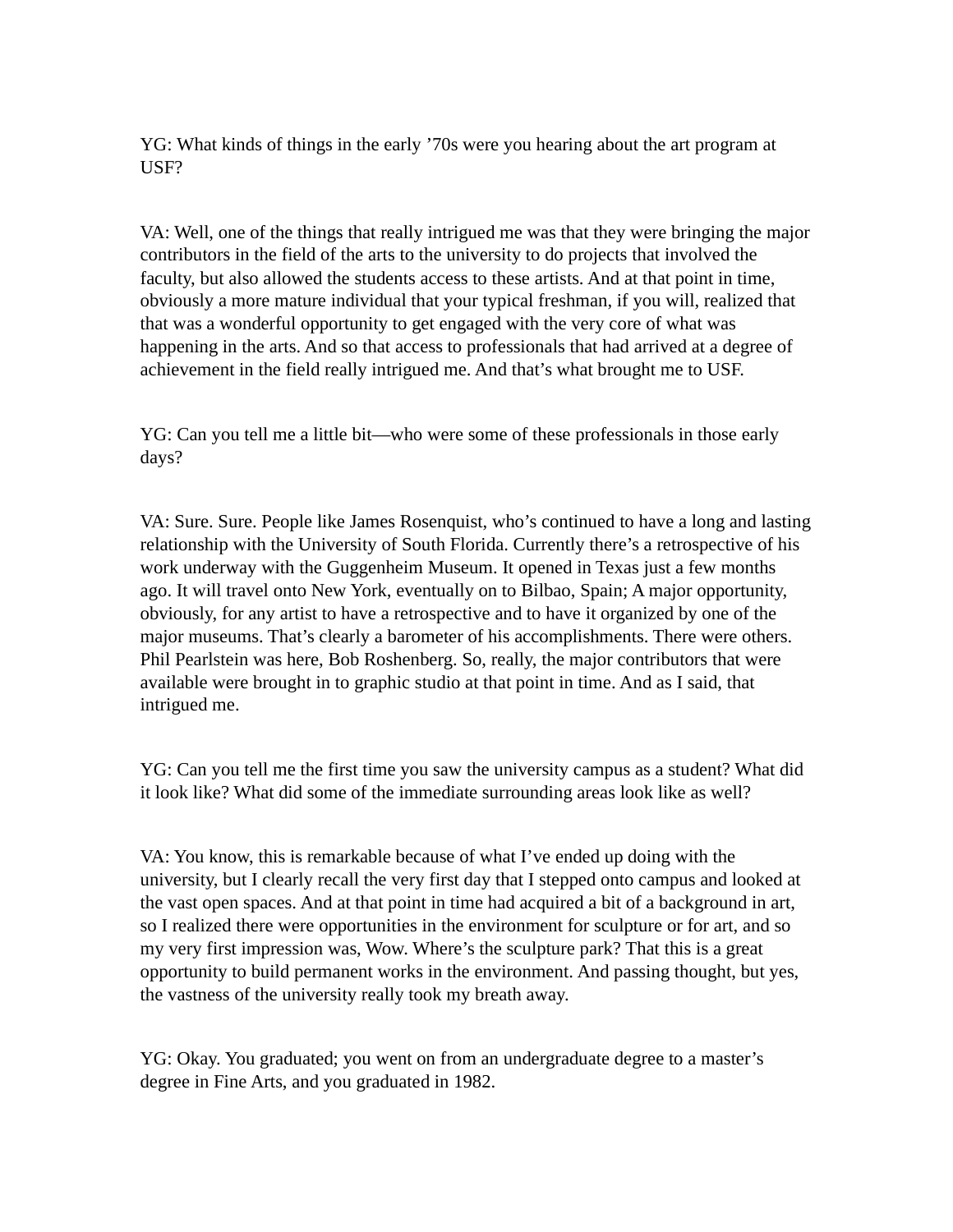YG: What kinds of things in the early '70s were you hearing about the art program at USF?

VA: Well, one of the things that really intrigued me was that they were bringing the major contributors in the field of the arts to the university to do projects that involved the faculty, but also allowed the students access to these artists. And at that point in time, obviously a more mature individual that your typical freshman, if you will, realized that that was a wonderful opportunity to get engaged with the very core of what was happening in the arts. And so that access to professionals that had arrived at a degree of achievement in the field really intrigued me. And that's what brought me to USF.

YG: Can you tell me a little bit—who were some of these professionals in those early days?

VA: Sure. Sure. People like James Rosenquist, who's continued to have a long and lasting relationship with the University of South Florida. Currently there's a retrospective of his work underway with the Guggenheim Museum. It opened in Texas just a few months ago. It will travel onto New York, eventually on to Bilbao, Spain; A major opportunity, obviously, for any artist to have a retrospective and to have it organized by one of the major museums. That's clearly a barometer of his accomplishments. There were others. Phil Pearlstein was here, Bob Roshenberg. So, really, the major contributors that were available were brought in to graphic studio at that point in time. And as I said, that intrigued me.

YG: Can you tell me the first time you saw the university campus as a student? What did it look like? What did some of the immediate surrounding areas look like as well?

VA: You know, this is remarkable because of what I've ended up doing with the university, but I clearly recall the very first day that I stepped onto campus and looked at the vast open spaces. And at that point in time had acquired a bit of a background in art, so I realized there were opportunities in the environment for sculpture or for art, and so my very first impression was, Wow. Where's the sculpture park? That this is a great opportunity to build permanent works in the environment. And passing thought, but yes, the vastness of the university really took my breath away.

YG: Okay. You graduated; you went on from an undergraduate degree to a master's degree in Fine Arts, and you graduated in 1982.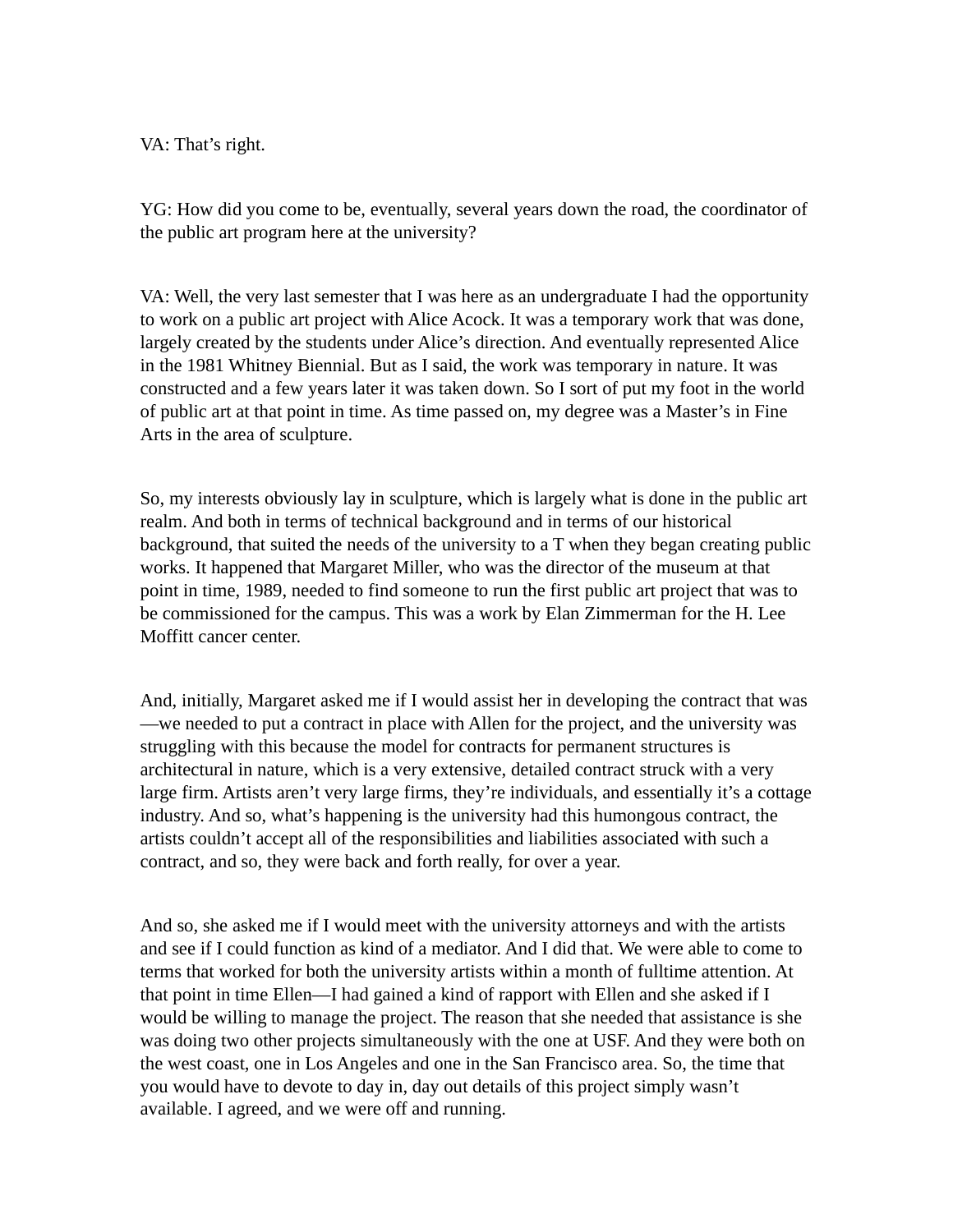VA: That's right.

YG: How did you come to be, eventually, several years down the road, the coordinator of the public art program here at the university?

VA: Well, the very last semester that I was here as an undergraduate I had the opportunity to work on a public art project with Alice Acock. It was a temporary work that was done, largely created by the students under Alice's direction. And eventually represented Alice in the 1981 Whitney Biennial. But as I said, the work was temporary in nature. It was constructed and a few years later it was taken down. So I sort of put my foot in the world of public art at that point in time. As time passed on, my degree was a Master's in Fine Arts in the area of sculpture.

So, my interests obviously lay in sculpture, which is largely what is done in the public art realm. And both in terms of technical background and in terms of our historical background, that suited the needs of the university to a T when they began creating public works. It happened that Margaret Miller, who was the director of the museum at that point in time, 1989, needed to find someone to run the first public art project that was to be commissioned for the campus. This was a work by Elan Zimmerman for the H. Lee Moffitt cancer center.

And, initially, Margaret asked me if I would assist her in developing the contract that was —we needed to put a contract in place with Allen for the project, and the university was struggling with this because the model for contracts for permanent structures is architectural in nature, which is a very extensive, detailed contract struck with a very large firm. Artists aren't very large firms, they're individuals, and essentially it's a cottage industry. And so, what's happening is the university had this humongous contract, the artists couldn't accept all of the responsibilities and liabilities associated with such a contract, and so, they were back and forth really, for over a year.

And so, she asked me if I would meet with the university attorneys and with the artists and see if I could function as kind of a mediator. And I did that. We were able to come to terms that worked for both the university artists within a month of fulltime attention. At that point in time Ellen—I had gained a kind of rapport with Ellen and she asked if I would be willing to manage the project. The reason that she needed that assistance is she was doing two other projects simultaneously with the one at USF. And they were both on the west coast, one in Los Angeles and one in the San Francisco area. So, the time that you would have to devote to day in, day out details of this project simply wasn't available. I agreed, and we were off and running.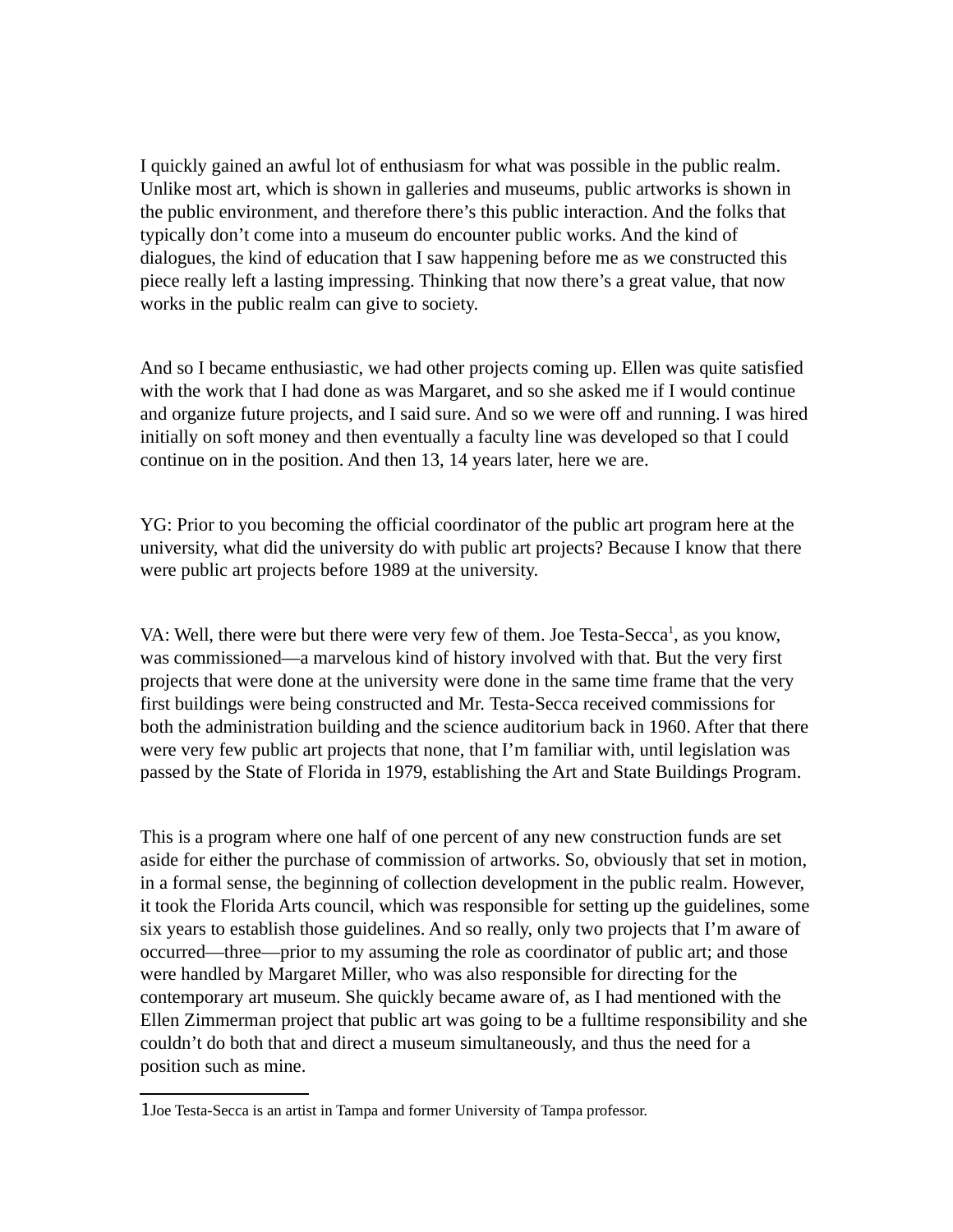I quickly gained an awful lot of enthusiasm for what was possible in the public realm. Unlike most art, which is shown in galleries and museums, public artworks is shown in the public environment, and therefore there's this public interaction. And the folks that typically don't come into a museum do encounter public works. And the kind of dialogues, the kind of education that I saw happening before me as we constructed this piece really left a lasting impressing. Thinking that now there's a great value, that now works in the public realm can give to society.

And so I became enthusiastic, we had other projects coming up. Ellen was quite satisfied with the work that I had done as was Margaret, and so she asked me if I would continue and organize future projects, and I said sure. And so we were off and running. I was hired initially on soft money and then eventually a faculty line was developed so that I could continue on in the position. And then 13, 14 years later, here we are.

YG: Prior to you becoming the official coordinator of the public art program here at the university, what did the university do with public art projects? Because I know that there were public art projects before 1989 at the university.

VA: Well, there were but there were very few of them. Joe Testa-Secca<sup>[1](#page-4-0)</sup>, as you know, was commissioned—a marvelous kind of history involved with that. But the very first projects that were done at the university were done in the same time frame that the very first buildings were being constructed and Mr. Testa-Secca received commissions for both the administration building and the science auditorium back in 1960. After that there were very few public art projects that none, that I'm familiar with, until legislation was passed by the State of Florida in 1979, establishing the Art and State Buildings Program.

This is a program where one half of one percent of any new construction funds are set aside for either the purchase of commission of artworks. So, obviously that set in motion, in a formal sense, the beginning of collection development in the public realm. However, it took the Florida Arts council, which was responsible for setting up the guidelines, some six years to establish those guidelines. And so really, only two projects that I'm aware of occurred—three—prior to my assuming the role as coordinator of public art; and those were handled by Margaret Miller, who was also responsible for directing for the contemporary art museum. She quickly became aware of, as I had mentioned with the Ellen Zimmerman project that public art was going to be a fulltime responsibility and she couldn't do both that and direct a museum simultaneously, and thus the need for a position such as mine.

<span id="page-4-0"></span><sup>1</sup>Joe Testa-Secca is an artist in Tampa and former University of Tampa professor.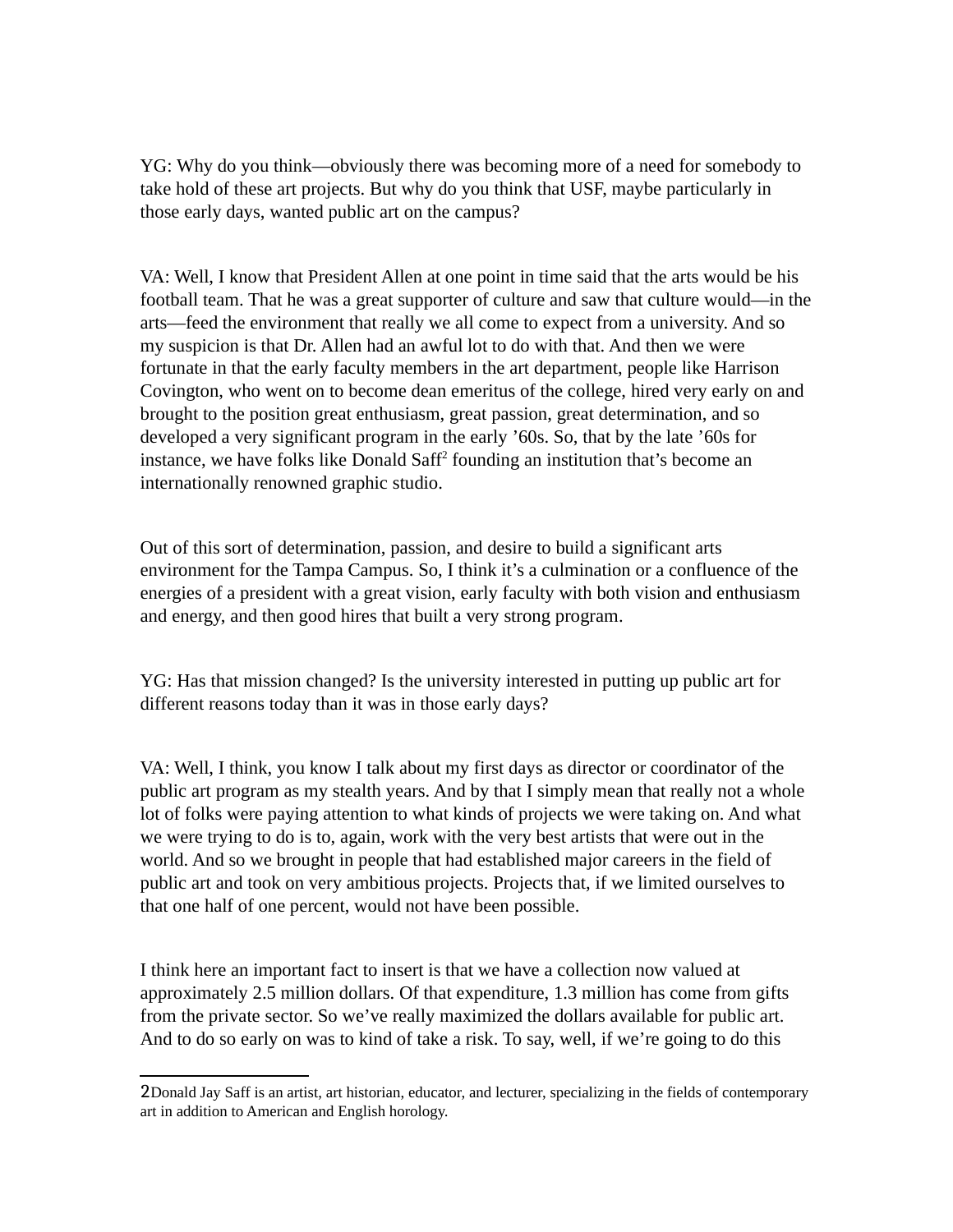YG: Why do you think—obviously there was becoming more of a need for somebody to take hold of these art projects. But why do you think that USF, maybe particularly in those early days, wanted public art on the campus?

VA: Well, I know that President Allen at one point in time said that the arts would be his football team. That he was a great supporter of culture and saw that culture would—in the arts—feed the environment that really we all come to expect from a university. And so my suspicion is that Dr. Allen had an awful lot to do with that. And then we were fortunate in that the early faculty members in the art department, people like Harrison Covington, who went on to become dean emeritus of the college, hired very early on and brought to the position great enthusiasm, great passion, great determination, and so developed a very significant program in the early '60s. So, that by the late '60s for instance, we have folks like Donald Saff<sup>[2](#page-5-0)</sup> founding an institution that's become an internationally renowned graphic studio.

Out of this sort of determination, passion, and desire to build a significant arts environment for the Tampa Campus. So, I think it's a culmination or a confluence of the energies of a president with a great vision, early faculty with both vision and enthusiasm and energy, and then good hires that built a very strong program.

YG: Has that mission changed? Is the university interested in putting up public art for different reasons today than it was in those early days?

VA: Well, I think, you know I talk about my first days as director or coordinator of the public art program as my stealth years. And by that I simply mean that really not a whole lot of folks were paying attention to what kinds of projects we were taking on. And what we were trying to do is to, again, work with the very best artists that were out in the world. And so we brought in people that had established major careers in the field of public art and took on very ambitious projects. Projects that, if we limited ourselves to that one half of one percent, would not have been possible.

I think here an important fact to insert is that we have a collection now valued at approximately 2.5 million dollars. Of that expenditure, 1.3 million has come from gifts from the private sector. So we've really maximized the dollars available for public art. And to do so early on was to kind of take a risk. To say, well, if we're going to do this

<span id="page-5-0"></span><sup>2</sup>Donald Jay Saff is an artist, art historian, educator, and lecturer, specializing in the fields of contemporary art in addition to American and English horology.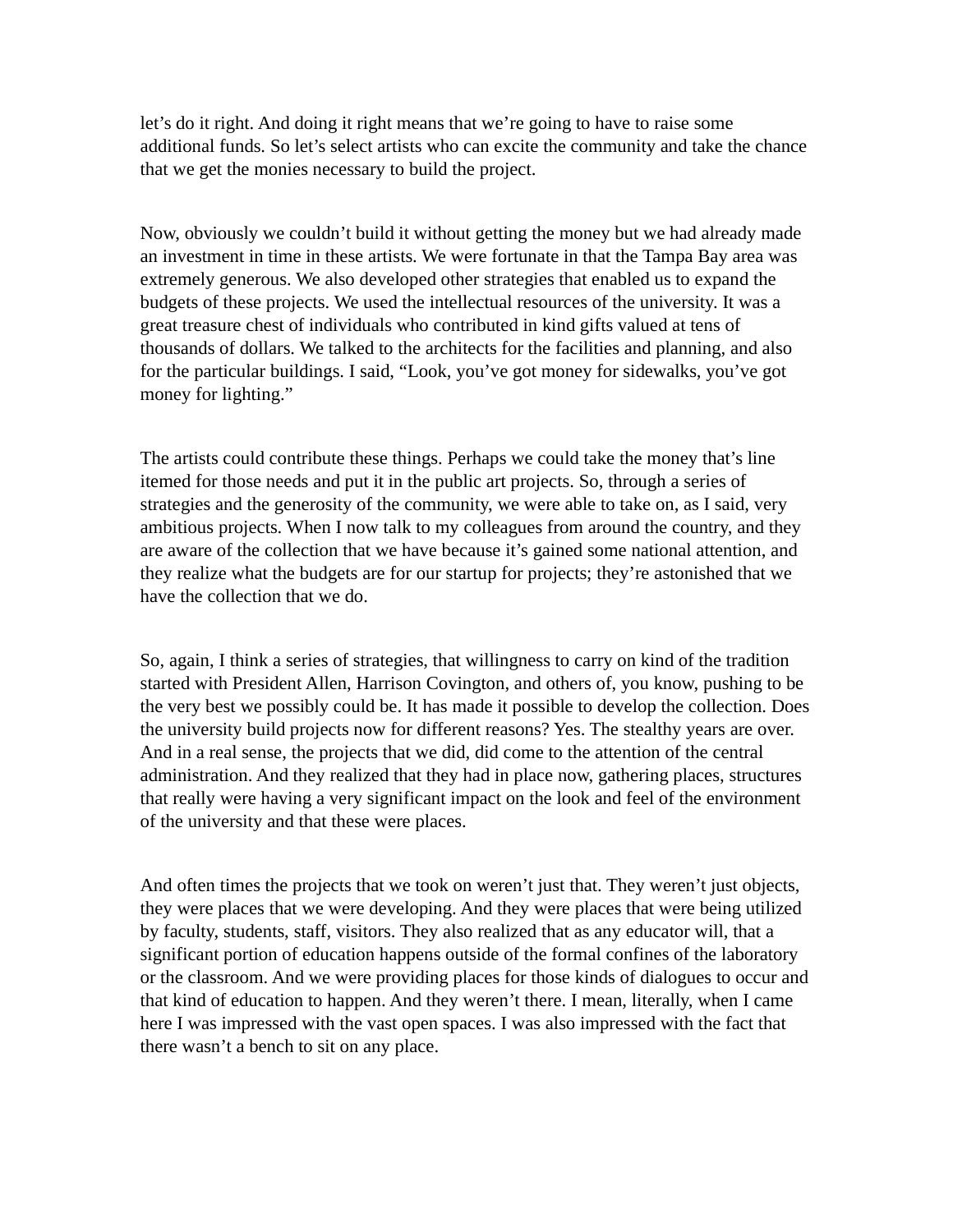let's do it right. And doing it right means that we're going to have to raise some additional funds. So let's select artists who can excite the community and take the chance that we get the monies necessary to build the project.

Now, obviously we couldn't build it without getting the money but we had already made an investment in time in these artists. We were fortunate in that the Tampa Bay area was extremely generous. We also developed other strategies that enabled us to expand the budgets of these projects. We used the intellectual resources of the university. It was a great treasure chest of individuals who contributed in kind gifts valued at tens of thousands of dollars. We talked to the architects for the facilities and planning, and also for the particular buildings. I said, "Look, you've got money for sidewalks, you've got money for lighting."

The artists could contribute these things. Perhaps we could take the money that's line itemed for those needs and put it in the public art projects. So, through a series of strategies and the generosity of the community, we were able to take on, as I said, very ambitious projects. When I now talk to my colleagues from around the country, and they are aware of the collection that we have because it's gained some national attention, and they realize what the budgets are for our startup for projects; they're astonished that we have the collection that we do.

So, again, I think a series of strategies, that willingness to carry on kind of the tradition started with President Allen, Harrison Covington, and others of, you know, pushing to be the very best we possibly could be. It has made it possible to develop the collection. Does the university build projects now for different reasons? Yes. The stealthy years are over. And in a real sense, the projects that we did, did come to the attention of the central administration. And they realized that they had in place now, gathering places, structures that really were having a very significant impact on the look and feel of the environment of the university and that these were places.

And often times the projects that we took on weren't just that. They weren't just objects, they were places that we were developing. And they were places that were being utilized by faculty, students, staff, visitors. They also realized that as any educator will, that a significant portion of education happens outside of the formal confines of the laboratory or the classroom. And we were providing places for those kinds of dialogues to occur and that kind of education to happen. And they weren't there. I mean, literally, when I came here I was impressed with the vast open spaces. I was also impressed with the fact that there wasn't a bench to sit on any place.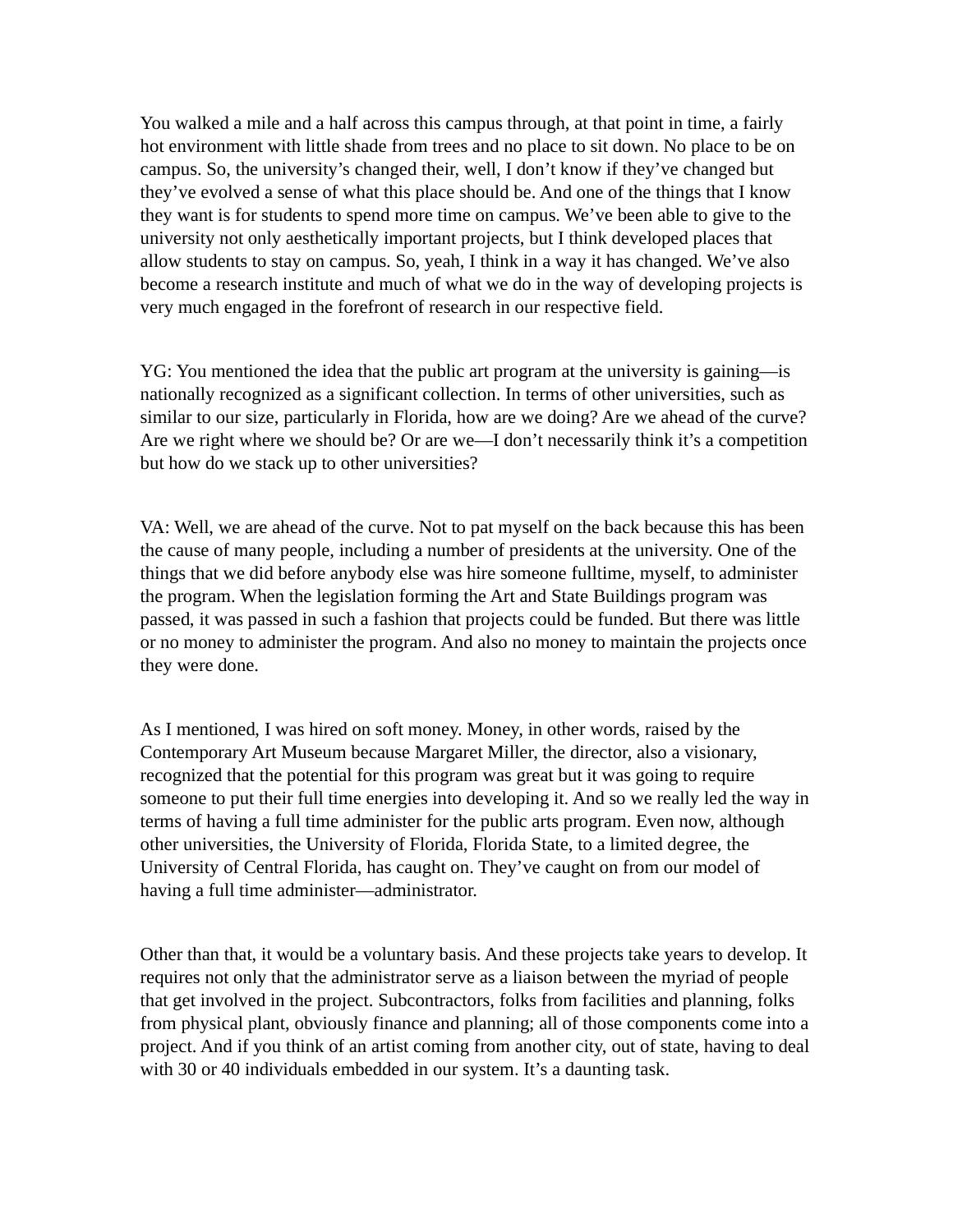You walked a mile and a half across this campus through, at that point in time, a fairly hot environment with little shade from trees and no place to sit down. No place to be on campus. So, the university's changed their, well, I don't know if they've changed but they've evolved a sense of what this place should be. And one of the things that I know they want is for students to spend more time on campus. We've been able to give to the university not only aesthetically important projects, but I think developed places that allow students to stay on campus. So, yeah, I think in a way it has changed. We've also become a research institute and much of what we do in the way of developing projects is very much engaged in the forefront of research in our respective field.

YG: You mentioned the idea that the public art program at the university is gaining—is nationally recognized as a significant collection. In terms of other universities, such as similar to our size, particularly in Florida, how are we doing? Are we ahead of the curve? Are we right where we should be? Or are we—I don't necessarily think it's a competition but how do we stack up to other universities?

VA: Well, we are ahead of the curve. Not to pat myself on the back because this has been the cause of many people, including a number of presidents at the university. One of the things that we did before anybody else was hire someone fulltime, myself, to administer the program. When the legislation forming the Art and State Buildings program was passed, it was passed in such a fashion that projects could be funded. But there was little or no money to administer the program. And also no money to maintain the projects once they were done.

As I mentioned, I was hired on soft money. Money, in other words, raised by the Contemporary Art Museum because Margaret Miller, the director, also a visionary, recognized that the potential for this program was great but it was going to require someone to put their full time energies into developing it. And so we really led the way in terms of having a full time administer for the public arts program. Even now, although other universities, the University of Florida, Florida State, to a limited degree, the University of Central Florida, has caught on. They've caught on from our model of having a full time administer—administrator.

Other than that, it would be a voluntary basis. And these projects take years to develop. It requires not only that the administrator serve as a liaison between the myriad of people that get involved in the project. Subcontractors, folks from facilities and planning, folks from physical plant, obviously finance and planning; all of those components come into a project. And if you think of an artist coming from another city, out of state, having to deal with 30 or 40 individuals embedded in our system. It's a daunting task.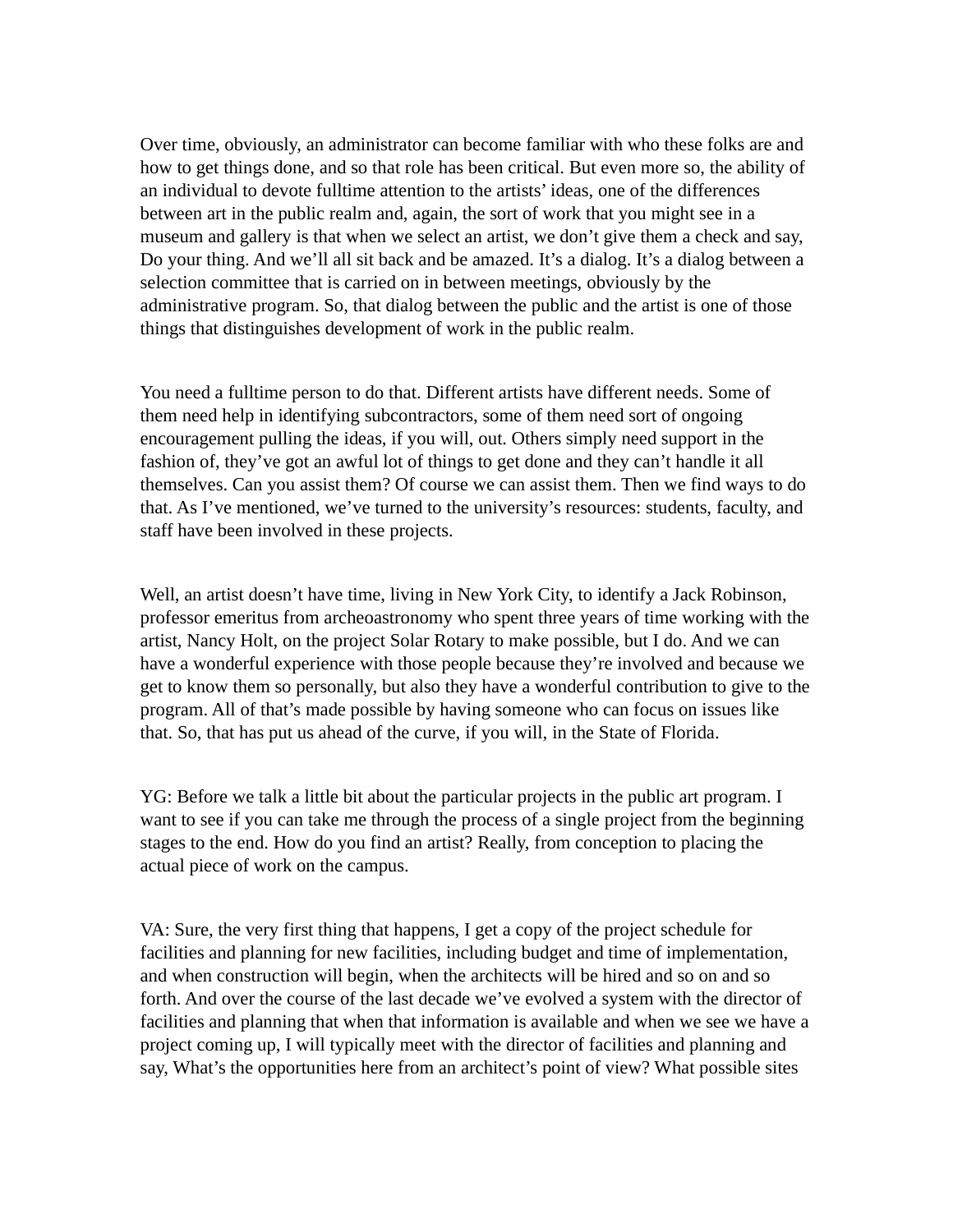Over time, obviously, an administrator can become familiar with who these folks are and how to get things done, and so that role has been critical. But even more so, the ability of an individual to devote fulltime attention to the artists' ideas, one of the differences between art in the public realm and, again, the sort of work that you might see in a museum and gallery is that when we select an artist, we don't give them a check and say, Do your thing. And we'll all sit back and be amazed. It's a dialog. It's a dialog between a selection committee that is carried on in between meetings, obviously by the administrative program. So, that dialog between the public and the artist is one of those things that distinguishes development of work in the public realm.

You need a fulltime person to do that. Different artists have different needs. Some of them need help in identifying subcontractors, some of them need sort of ongoing encouragement pulling the ideas, if you will, out. Others simply need support in the fashion of, they've got an awful lot of things to get done and they can't handle it all themselves. Can you assist them? Of course we can assist them. Then we find ways to do that. As I've mentioned, we've turned to the university's resources: students, faculty, and staff have been involved in these projects.

Well, an artist doesn't have time, living in New York City, to identify a Jack Robinson, professor emeritus from archeoastronomy who spent three years of time working with the artist, Nancy Holt, on the project Solar Rotary to make possible, but I do. And we can have a wonderful experience with those people because they're involved and because we get to know them so personally, but also they have a wonderful contribution to give to the program. All of that's made possible by having someone who can focus on issues like that. So, that has put us ahead of the curve, if you will, in the State of Florida.

YG: Before we talk a little bit about the particular projects in the public art program. I want to see if you can take me through the process of a single project from the beginning stages to the end. How do you find an artist? Really, from conception to placing the actual piece of work on the campus.

VA: Sure, the very first thing that happens, I get a copy of the project schedule for facilities and planning for new facilities, including budget and time of implementation, and when construction will begin, when the architects will be hired and so on and so forth. And over the course of the last decade we've evolved a system with the director of facilities and planning that when that information is available and when we see we have a project coming up, I will typically meet with the director of facilities and planning and say, What's the opportunities here from an architect's point of view? What possible sites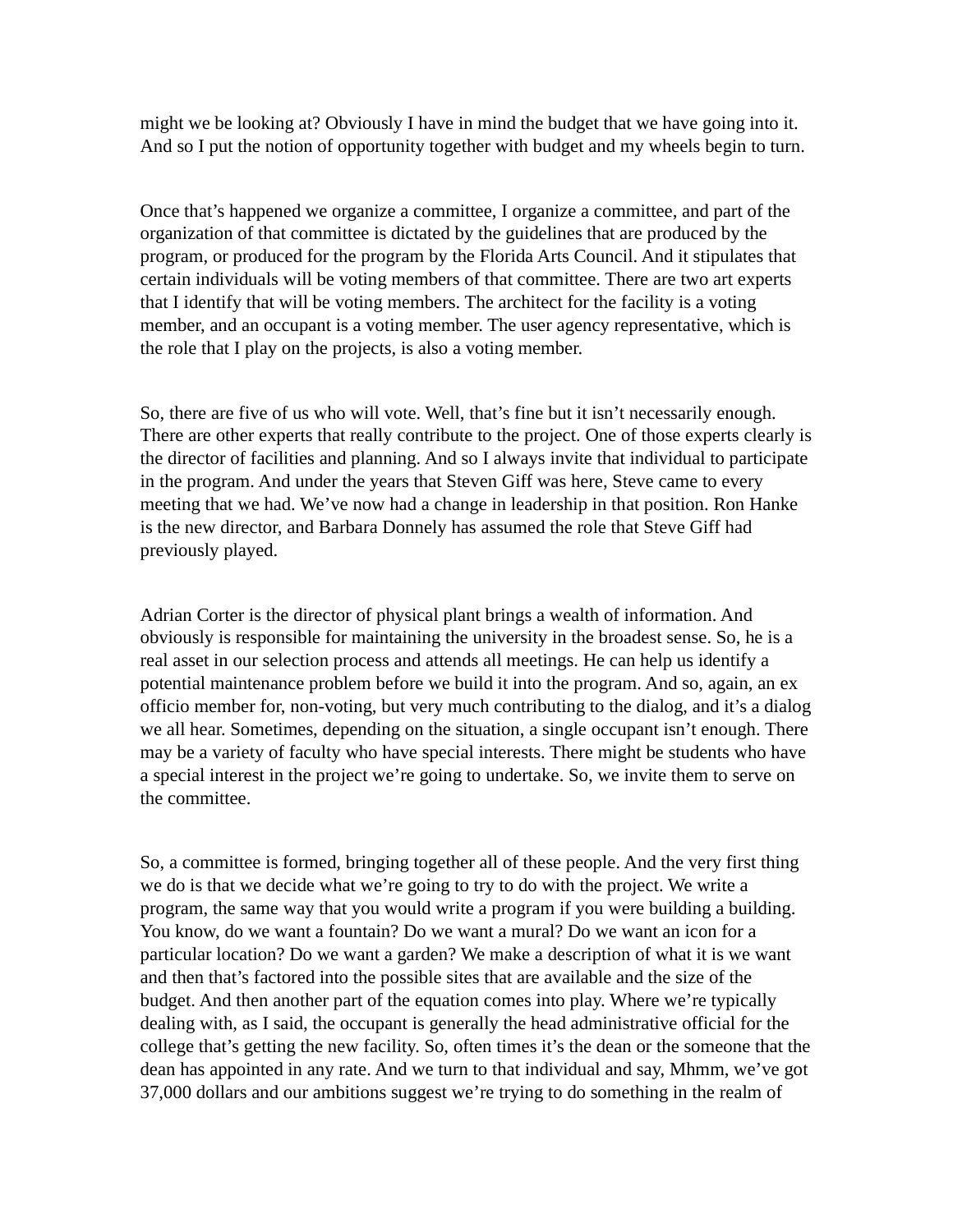might we be looking at? Obviously I have in mind the budget that we have going into it. And so I put the notion of opportunity together with budget and my wheels begin to turn.

Once that's happened we organize a committee, I organize a committee, and part of the organization of that committee is dictated by the guidelines that are produced by the program, or produced for the program by the Florida Arts Council. And it stipulates that certain individuals will be voting members of that committee. There are two art experts that I identify that will be voting members. The architect for the facility is a voting member, and an occupant is a voting member. The user agency representative, which is the role that I play on the projects, is also a voting member.

So, there are five of us who will vote. Well, that's fine but it isn't necessarily enough. There are other experts that really contribute to the project. One of those experts clearly is the director of facilities and planning. And so I always invite that individual to participate in the program. And under the years that Steven Giff was here, Steve came to every meeting that we had. We've now had a change in leadership in that position. Ron Hanke is the new director, and Barbara Donnely has assumed the role that Steve Giff had previously played.

Adrian Corter is the director of physical plant brings a wealth of information. And obviously is responsible for maintaining the university in the broadest sense. So, he is a real asset in our selection process and attends all meetings. He can help us identify a potential maintenance problem before we build it into the program. And so, again, an ex officio member for, non-voting, but very much contributing to the dialog, and it's a dialog we all hear. Sometimes, depending on the situation, a single occupant isn't enough. There may be a variety of faculty who have special interests. There might be students who have a special interest in the project we're going to undertake. So, we invite them to serve on the committee.

So, a committee is formed, bringing together all of these people. And the very first thing we do is that we decide what we're going to try to do with the project. We write a program, the same way that you would write a program if you were building a building. You know, do we want a fountain? Do we want a mural? Do we want an icon for a particular location? Do we want a garden? We make a description of what it is we want and then that's factored into the possible sites that are available and the size of the budget. And then another part of the equation comes into play. Where we're typically dealing with, as I said, the occupant is generally the head administrative official for the college that's getting the new facility. So, often times it's the dean or the someone that the dean has appointed in any rate. And we turn to that individual and say, Mhmm, we've got 37,000 dollars and our ambitions suggest we're trying to do something in the realm of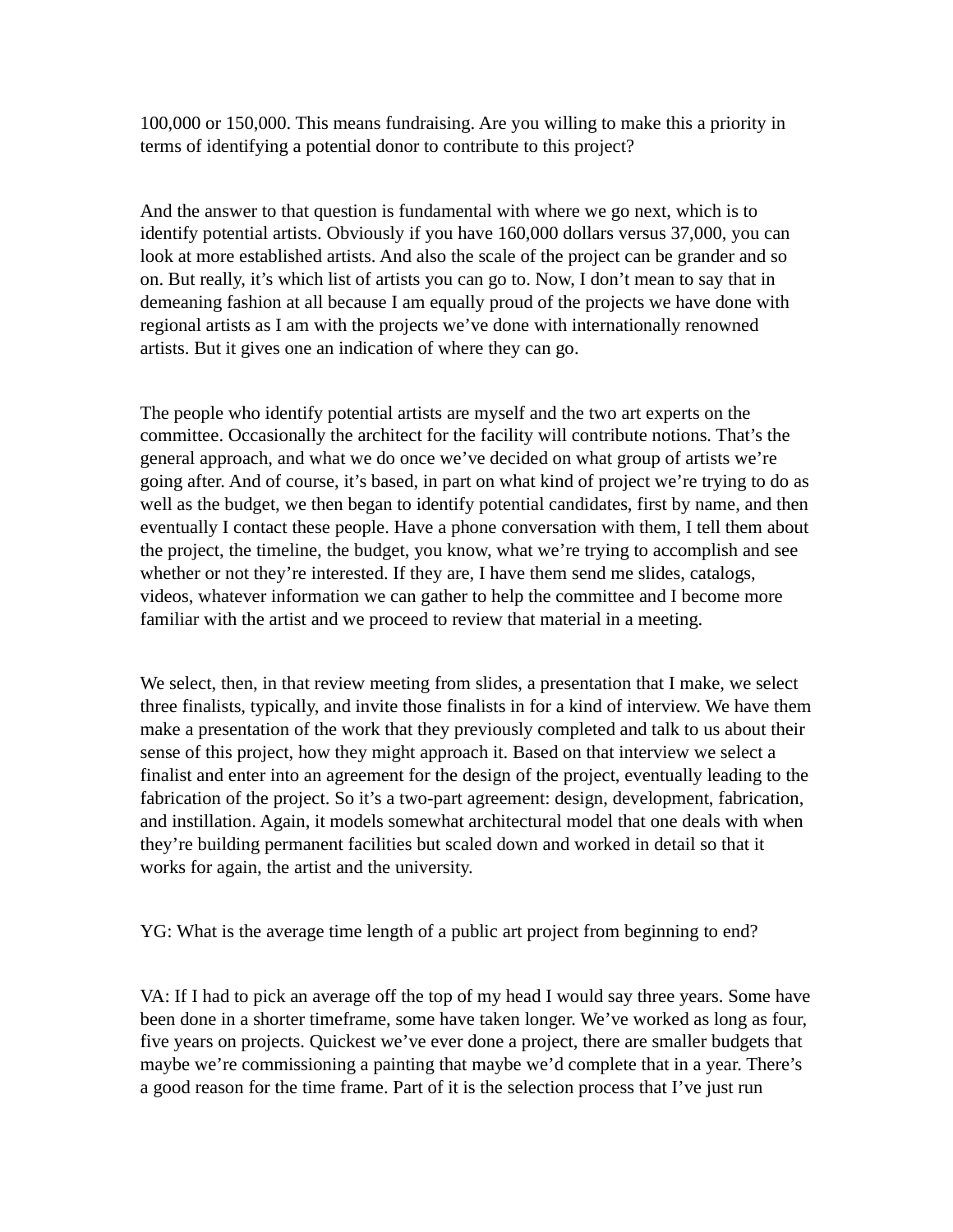100,000 or 150,000. This means fundraising. Are you willing to make this a priority in terms of identifying a potential donor to contribute to this project?

And the answer to that question is fundamental with where we go next, which is to identify potential artists. Obviously if you have 160,000 dollars versus 37,000, you can look at more established artists. And also the scale of the project can be grander and so on. But really, it's which list of artists you can go to. Now, I don't mean to say that in demeaning fashion at all because I am equally proud of the projects we have done with regional artists as I am with the projects we've done with internationally renowned artists. But it gives one an indication of where they can go.

The people who identify potential artists are myself and the two art experts on the committee. Occasionally the architect for the facility will contribute notions. That's the general approach, and what we do once we've decided on what group of artists we're going after. And of course, it's based, in part on what kind of project we're trying to do as well as the budget, we then began to identify potential candidates, first by name, and then eventually I contact these people. Have a phone conversation with them, I tell them about the project, the timeline, the budget, you know, what we're trying to accomplish and see whether or not they're interested. If they are, I have them send me slides, catalogs, videos, whatever information we can gather to help the committee and I become more familiar with the artist and we proceed to review that material in a meeting.

We select, then, in that review meeting from slides, a presentation that I make, we select three finalists, typically, and invite those finalists in for a kind of interview. We have them make a presentation of the work that they previously completed and talk to us about their sense of this project, how they might approach it. Based on that interview we select a finalist and enter into an agreement for the design of the project, eventually leading to the fabrication of the project. So it's a two-part agreement: design, development, fabrication, and instillation. Again, it models somewhat architectural model that one deals with when they're building permanent facilities but scaled down and worked in detail so that it works for again, the artist and the university.

YG: What is the average time length of a public art project from beginning to end?

VA: If I had to pick an average off the top of my head I would say three years. Some have been done in a shorter timeframe, some have taken longer. We've worked as long as four, five years on projects. Quickest we've ever done a project, there are smaller budgets that maybe we're commissioning a painting that maybe we'd complete that in a year. There's a good reason for the time frame. Part of it is the selection process that I've just run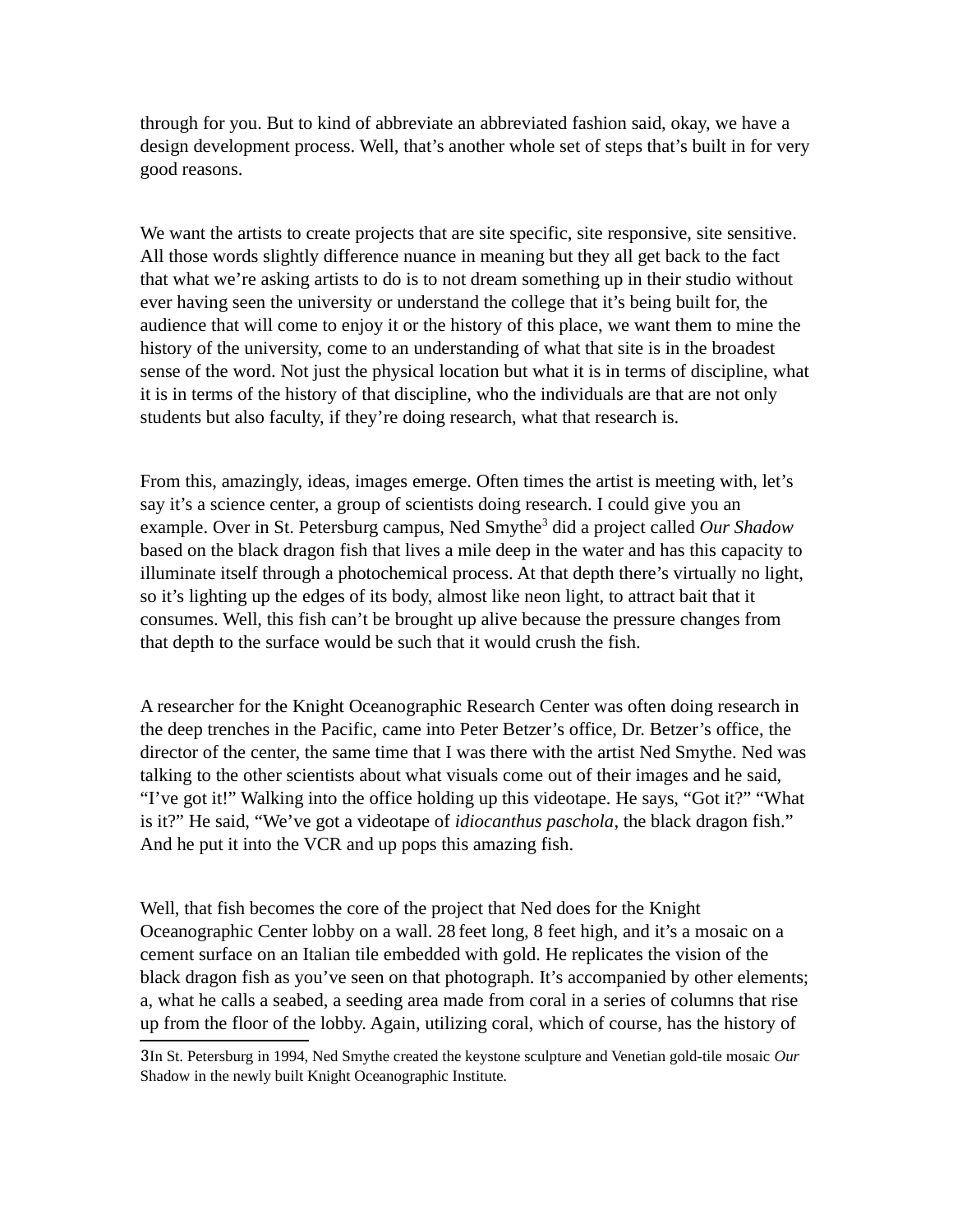through for you. But to kind of abbreviate an abbreviated fashion said, okay, we have a design development process. Well, that's another whole set of steps that's built in for very good reasons.

We want the artists to create projects that are site specific, site responsive, site sensitive. All those words slightly difference nuance in meaning but they all get back to the fact that what we're asking artists to do is to not dream something up in their studio without ever having seen the university or understand the college that it's being built for, the audience that will come to enjoy it or the history of this place, we want them to mine the history of the university, come to an understanding of what that site is in the broadest sense of the word. Not just the physical location but what it is in terms of discipline, what it is in terms of the history of that discipline, who the individuals are that are not only students but also faculty, if they're doing research, what that research is.

From this, amazingly, ideas, images emerge. Often times the artist is meeting with, let's say it's a science center, a group of scientists doing research. I could give you an example. Over in St. Petersburg campus, Ned Smythe<sup>[3](#page-11-0)</sup> did a project called *Our Shadow* based on the black dragon fish that lives a mile deep in the water and has this capacity to illuminate itself through a photochemical process. At that depth there's virtually no light, so it's lighting up the edges of its body, almost like neon light, to attract bait that it consumes. Well, this fish can't be brought up alive because the pressure changes from that depth to the surface would be such that it would crush the fish.

A researcher for the Knight Oceanographic Research Center was often doing research in the deep trenches in the Pacific, came into Peter Betzer's office, Dr. Betzer's office, the director of the center, the same time that I was there with the artist Ned Smythe. Ned was talking to the other scientists about what visuals come out of their images and he said, "I've got it!" Walking into the office holding up this videotape. He says, "Got it?" "What is it?" He said, "We've got a videotape of *idiocanthus paschola*, the black dragon fish." And he put it into the VCR and up pops this amazing fish.

Well, that fish becomes the core of the project that Ned does for the Knight Oceanographic Center lobby on a wall. 28 feet long, 8 feet high, and it's a mosaic on a cement surface on an Italian tile embedded with gold. He replicates the vision of the black dragon fish as you've seen on that photograph. It's accompanied by other elements; a, what he calls a seabed, a seeding area made from coral in a series of columns that rise up from the floor of the lobby. Again, utilizing coral, which of course, has the history of

<span id="page-11-0"></span><sup>3</sup>In St. Petersburg in 1994, Ned Smythe created the keystone sculpture and Venetian gold-tile mosaic *Our*  Shadow in the newly built Knight Oceanographic Institute.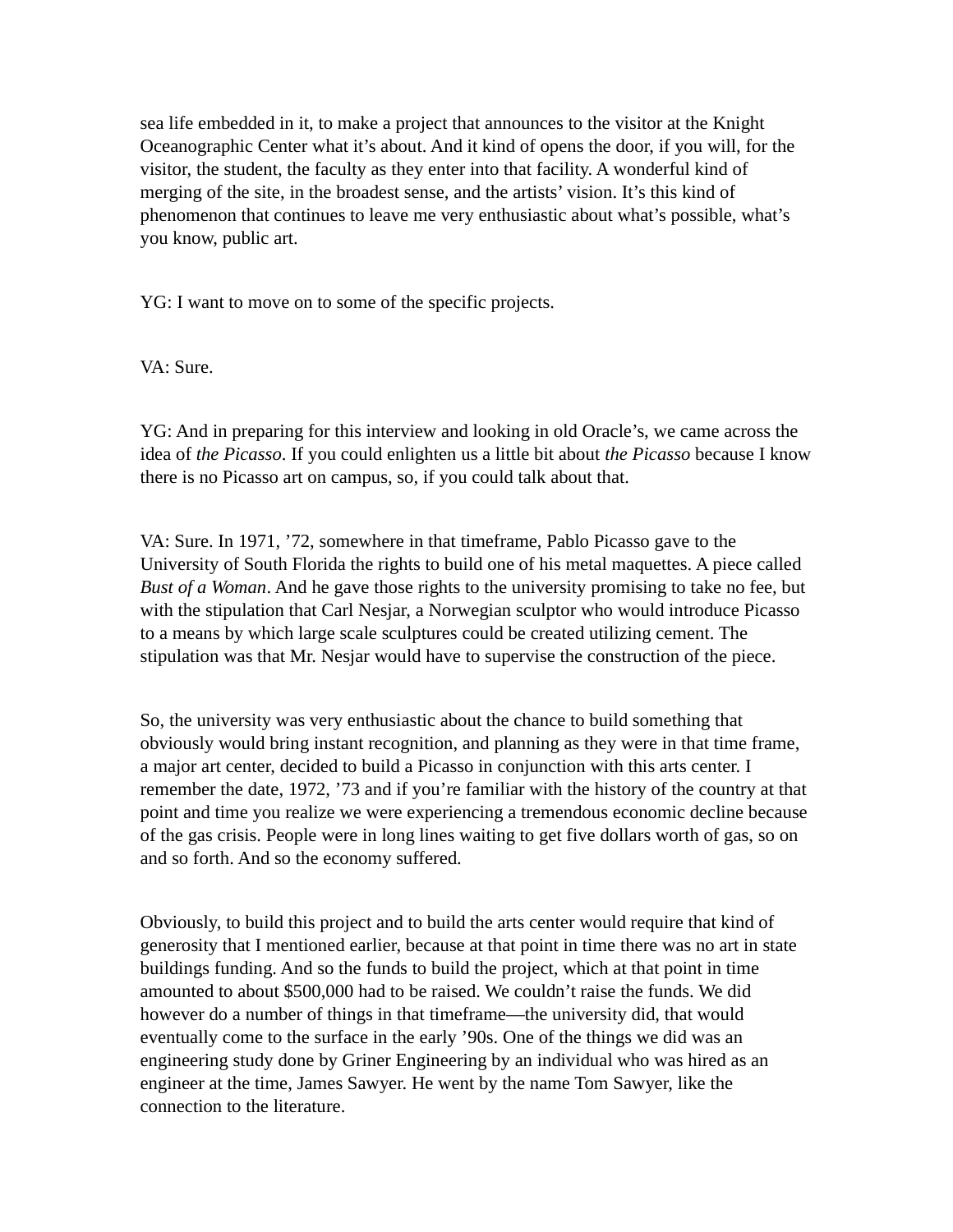sea life embedded in it, to make a project that announces to the visitor at the Knight Oceanographic Center what it's about. And it kind of opens the door, if you will, for the visitor, the student, the faculty as they enter into that facility. A wonderful kind of merging of the site, in the broadest sense, and the artists' vision. It's this kind of phenomenon that continues to leave me very enthusiastic about what's possible, what's you know, public art.

YG: I want to move on to some of the specific projects.

VA: Sure.

YG: And in preparing for this interview and looking in old Oracle's, we came across the idea of *the Picasso*. If you could enlighten us a little bit about *the Picasso* because I know there is no Picasso art on campus, so, if you could talk about that.

VA: Sure. In 1971, '72, somewhere in that timeframe, Pablo Picasso gave to the University of South Florida the rights to build one of his metal maquettes. A piece called *Bust of a Woman*. And he gave those rights to the university promising to take no fee, but with the stipulation that Carl Nesjar, a Norwegian sculptor who would introduce Picasso to a means by which large scale sculptures could be created utilizing cement. The stipulation was that Mr. Nesjar would have to supervise the construction of the piece.

So, the university was very enthusiastic about the chance to build something that obviously would bring instant recognition, and planning as they were in that time frame, a major art center, decided to build a Picasso in conjunction with this arts center. I remember the date, 1972, '73 and if you're familiar with the history of the country at that point and time you realize we were experiencing a tremendous economic decline because of the gas crisis. People were in long lines waiting to get five dollars worth of gas, so on and so forth. And so the economy suffered.

Obviously, to build this project and to build the arts center would require that kind of generosity that I mentioned earlier, because at that point in time there was no art in state buildings funding. And so the funds to build the project, which at that point in time amounted to about \$500,000 had to be raised. We couldn't raise the funds. We did however do a number of things in that timeframe—the university did, that would eventually come to the surface in the early '90s. One of the things we did was an engineering study done by Griner Engineering by an individual who was hired as an engineer at the time, James Sawyer. He went by the name Tom Sawyer, like the connection to the literature.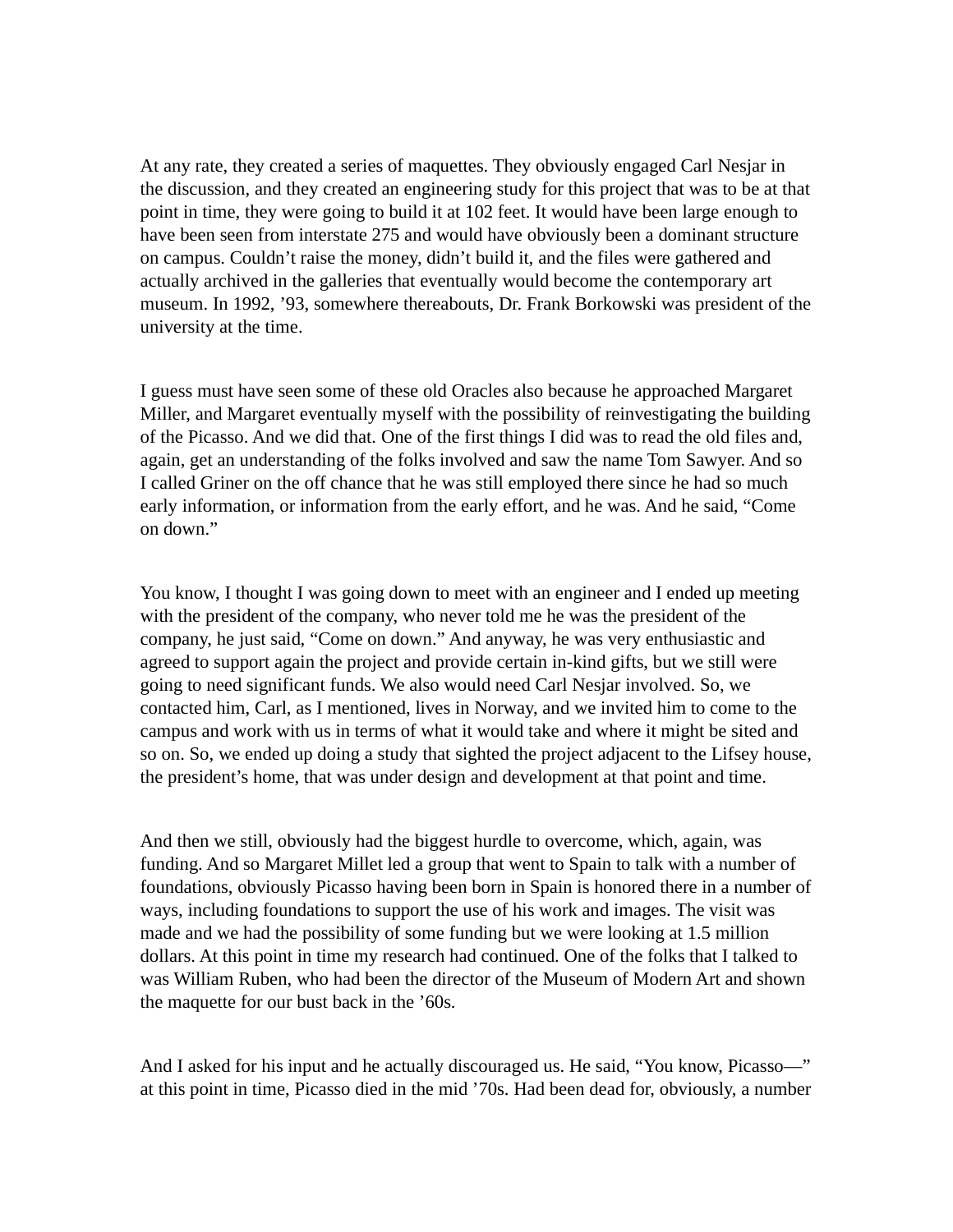At any rate, they created a series of maquettes. They obviously engaged Carl Nesjar in the discussion, and they created an engineering study for this project that was to be at that point in time, they were going to build it at 102 feet. It would have been large enough to have been seen from interstate 275 and would have obviously been a dominant structure on campus. Couldn't raise the money, didn't build it, and the files were gathered and actually archived in the galleries that eventually would become the contemporary art museum. In 1992, '93, somewhere thereabouts, Dr. Frank Borkowski was president of the university at the time.

I guess must have seen some of these old Oracles also because he approached Margaret Miller, and Margaret eventually myself with the possibility of reinvestigating the building of the Picasso. And we did that. One of the first things I did was to read the old files and, again, get an understanding of the folks involved and saw the name Tom Sawyer. And so I called Griner on the off chance that he was still employed there since he had so much early information, or information from the early effort, and he was. And he said, "Come on down."

You know, I thought I was going down to meet with an engineer and I ended up meeting with the president of the company, who never told me he was the president of the company, he just said, "Come on down." And anyway, he was very enthusiastic and agreed to support again the project and provide certain in-kind gifts, but we still were going to need significant funds. We also would need Carl Nesjar involved. So, we contacted him, Carl, as I mentioned, lives in Norway, and we invited him to come to the campus and work with us in terms of what it would take and where it might be sited and so on. So, we ended up doing a study that sighted the project adjacent to the Lifsey house, the president's home, that was under design and development at that point and time.

And then we still, obviously had the biggest hurdle to overcome, which, again, was funding. And so Margaret Millet led a group that went to Spain to talk with a number of foundations, obviously Picasso having been born in Spain is honored there in a number of ways, including foundations to support the use of his work and images. The visit was made and we had the possibility of some funding but we were looking at 1.5 million dollars. At this point in time my research had continued. One of the folks that I talked to was William Ruben, who had been the director of the Museum of Modern Art and shown the maquette for our bust back in the '60s.

And I asked for his input and he actually discouraged us. He said, "You know, Picasso—" at this point in time, Picasso died in the mid '70s. Had been dead for, obviously, a number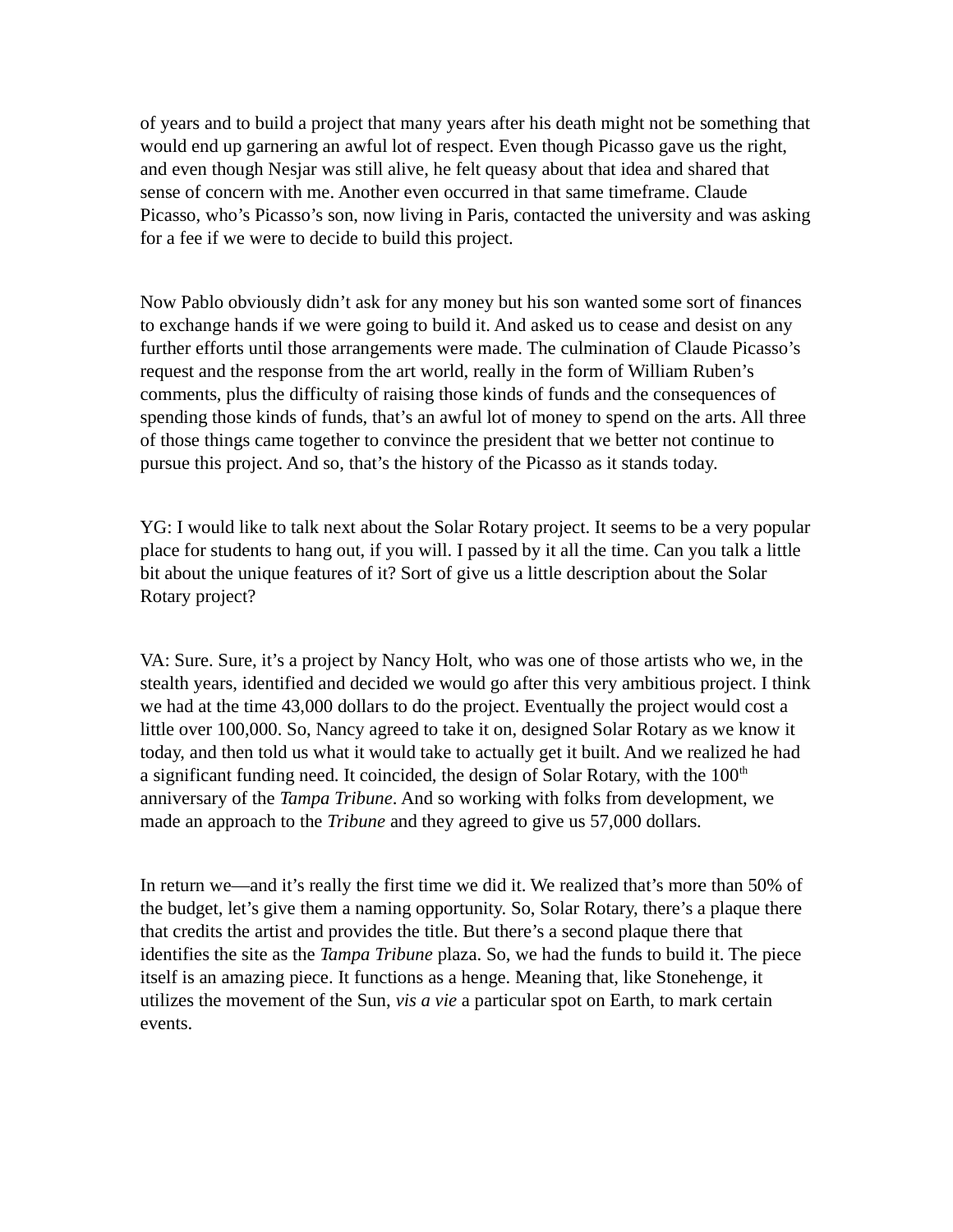of years and to build a project that many years after his death might not be something that would end up garnering an awful lot of respect. Even though Picasso gave us the right, and even though Nesjar was still alive, he felt queasy about that idea and shared that sense of concern with me. Another even occurred in that same timeframe. Claude Picasso, who's Picasso's son, now living in Paris, contacted the university and was asking for a fee if we were to decide to build this project.

Now Pablo obviously didn't ask for any money but his son wanted some sort of finances to exchange hands if we were going to build it. And asked us to cease and desist on any further efforts until those arrangements were made. The culmination of Claude Picasso's request and the response from the art world, really in the form of William Ruben's comments, plus the difficulty of raising those kinds of funds and the consequences of spending those kinds of funds, that's an awful lot of money to spend on the arts. All three of those things came together to convince the president that we better not continue to pursue this project. And so, that's the history of the Picasso as it stands today.

YG: I would like to talk next about the Solar Rotary project. It seems to be a very popular place for students to hang out, if you will. I passed by it all the time. Can you talk a little bit about the unique features of it? Sort of give us a little description about the Solar Rotary project?

VA: Sure. Sure, it's a project by Nancy Holt, who was one of those artists who we, in the stealth years, identified and decided we would go after this very ambitious project. I think we had at the time 43,000 dollars to do the project. Eventually the project would cost a little over 100,000. So, Nancy agreed to take it on, designed Solar Rotary as we know it today, and then told us what it would take to actually get it built. And we realized he had a significant funding need. It coincided, the design of Solar Rotary, with the  $100<sup>th</sup>$ anniversary of the *Tampa Tribune*. And so working with folks from development, we made an approach to the *Tribune* and they agreed to give us 57,000 dollars.

In return we—and it's really the first time we did it. We realized that's more than 50% of the budget, let's give them a naming opportunity. So, Solar Rotary, there's a plaque there that credits the artist and provides the title. But there's a second plaque there that identifies the site as the *Tampa Tribune* plaza. So, we had the funds to build it. The piece itself is an amazing piece. It functions as a henge. Meaning that, like Stonehenge, it utilizes the movement of the Sun, *vis a vie* a particular spot on Earth, to mark certain events.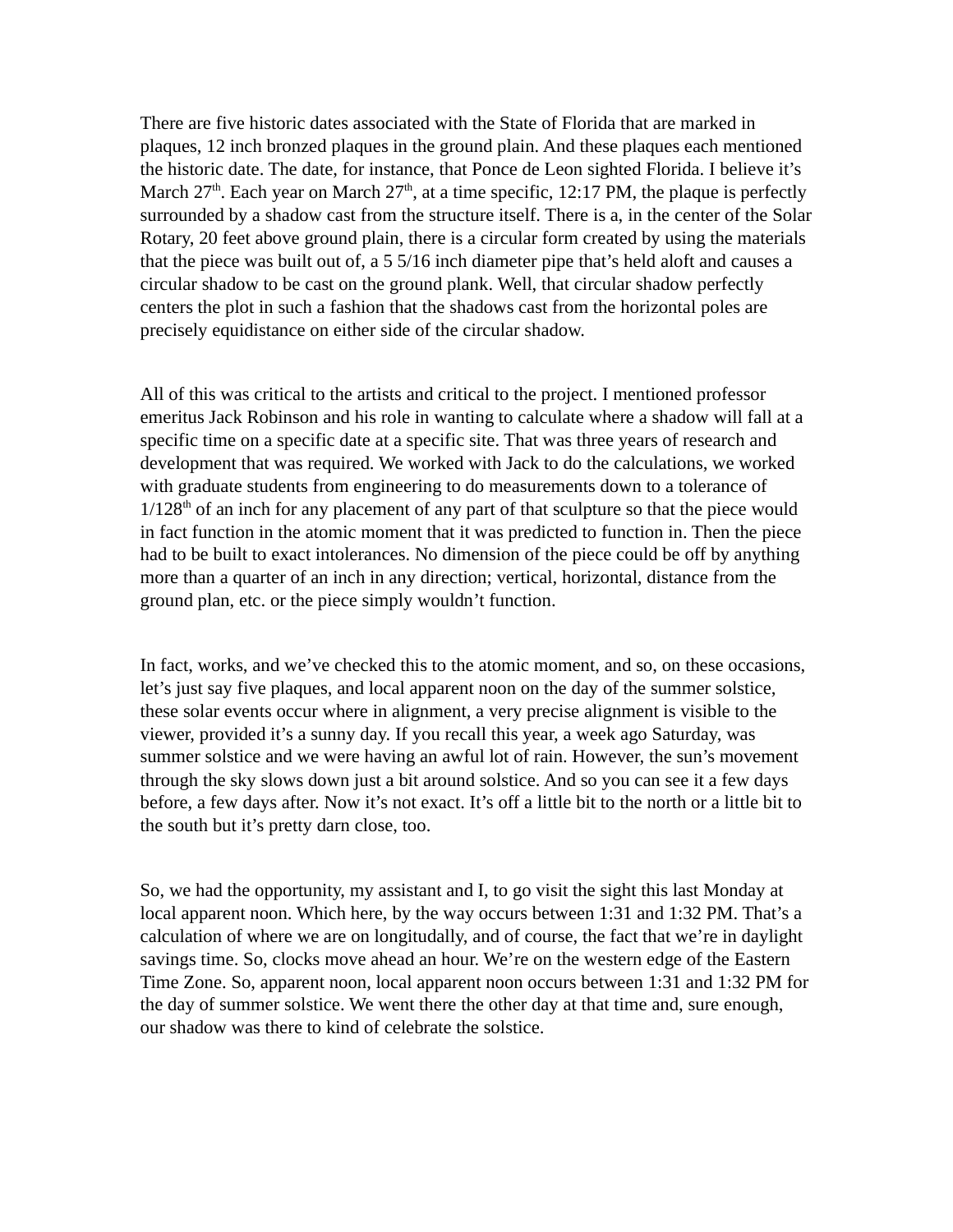There are five historic dates associated with the State of Florida that are marked in plaques, 12 inch bronzed plaques in the ground plain. And these plaques each mentioned the historic date. The date, for instance, that Ponce de Leon sighted Florida. I believe it's March 27<sup>th</sup>. Each year on March 27<sup>th</sup>, at a time specific, 12:17 PM, the plaque is perfectly surrounded by a shadow cast from the structure itself. There is a, in the center of the Solar Rotary, 20 feet above ground plain, there is a circular form created by using the materials that the piece was built out of, a 5 5/16 inch diameter pipe that's held aloft and causes a circular shadow to be cast on the ground plank. Well, that circular shadow perfectly centers the plot in such a fashion that the shadows cast from the horizontal poles are precisely equidistance on either side of the circular shadow.

All of this was critical to the artists and critical to the project. I mentioned professor emeritus Jack Robinson and his role in wanting to calculate where a shadow will fall at a specific time on a specific date at a specific site. That was three years of research and development that was required. We worked with Jack to do the calculations, we worked with graduate students from engineering to do measurements down to a tolerance of  $1/128<sup>th</sup>$  of an inch for any placement of any part of that sculpture so that the piece would in fact function in the atomic moment that it was predicted to function in. Then the piece had to be built to exact intolerances. No dimension of the piece could be off by anything more than a quarter of an inch in any direction; vertical, horizontal, distance from the ground plan, etc. or the piece simply wouldn't function.

In fact, works, and we've checked this to the atomic moment, and so, on these occasions, let's just say five plaques, and local apparent noon on the day of the summer solstice, these solar events occur where in alignment, a very precise alignment is visible to the viewer, provided it's a sunny day. If you recall this year, a week ago Saturday, was summer solstice and we were having an awful lot of rain. However, the sun's movement through the sky slows down just a bit around solstice. And so you can see it a few days before, a few days after. Now it's not exact. It's off a little bit to the north or a little bit to the south but it's pretty darn close, too.

So, we had the opportunity, my assistant and I, to go visit the sight this last Monday at local apparent noon. Which here, by the way occurs between 1:31 and 1:32 PM. That's a calculation of where we are on longitudally, and of course, the fact that we're in daylight savings time. So, clocks move ahead an hour. We're on the western edge of the Eastern Time Zone. So, apparent noon, local apparent noon occurs between 1:31 and 1:32 PM for the day of summer solstice. We went there the other day at that time and, sure enough, our shadow was there to kind of celebrate the solstice.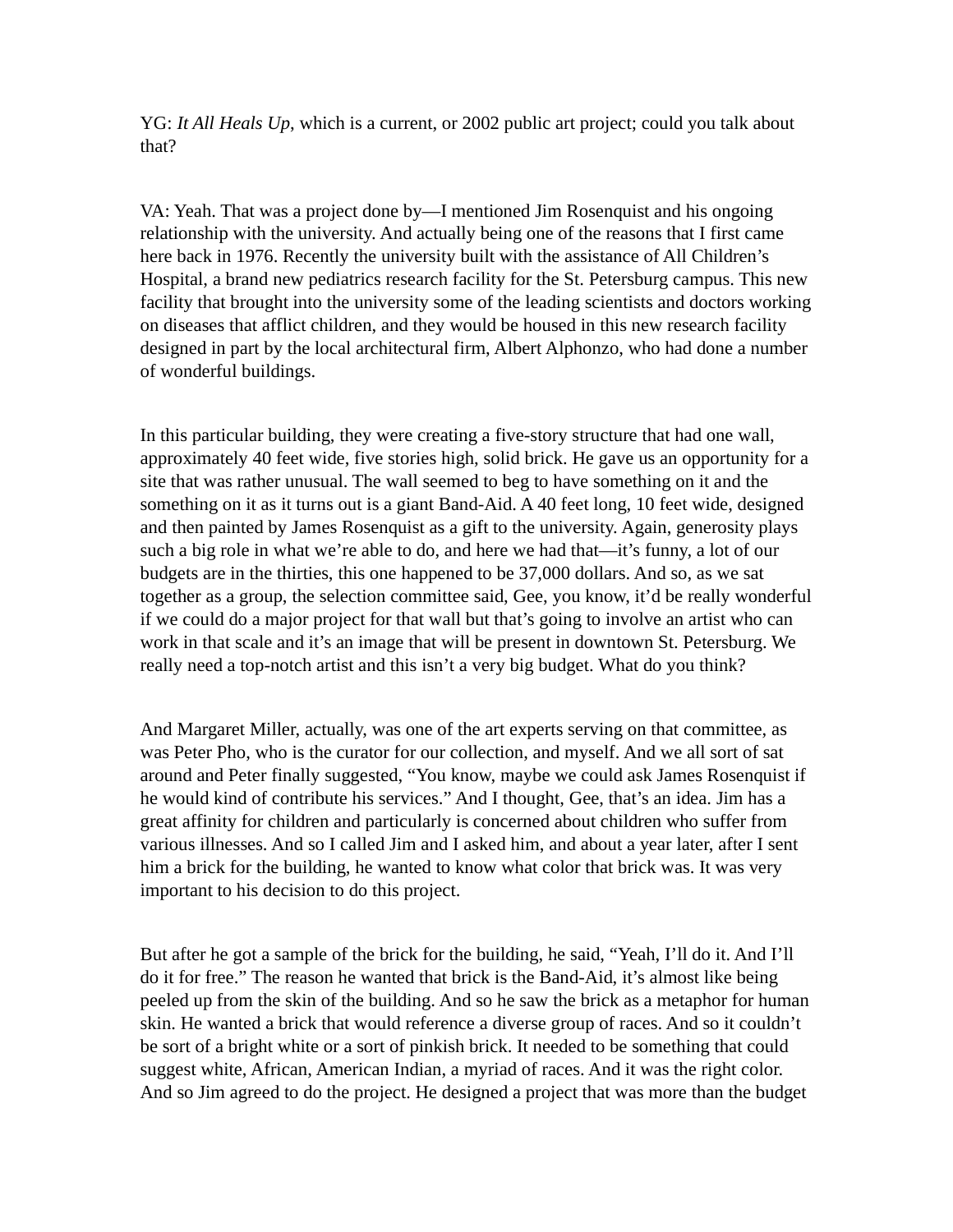YG: *It All Heals Up*, which is a current, or 2002 public art project; could you talk about that?

VA: Yeah. That was a project done by—I mentioned Jim Rosenquist and his ongoing relationship with the university. And actually being one of the reasons that I first came here back in 1976. Recently the university built with the assistance of All Children's Hospital, a brand new pediatrics research facility for the St. Petersburg campus. This new facility that brought into the university some of the leading scientists and doctors working on diseases that afflict children, and they would be housed in this new research facility designed in part by the local architectural firm, Albert Alphonzo, who had done a number of wonderful buildings.

In this particular building, they were creating a five-story structure that had one wall, approximately 40 feet wide, five stories high, solid brick. He gave us an opportunity for a site that was rather unusual. The wall seemed to beg to have something on it and the something on it as it turns out is a giant Band-Aid. A 40 feet long, 10 feet wide, designed and then painted by James Rosenquist as a gift to the university. Again, generosity plays such a big role in what we're able to do, and here we had that—it's funny, a lot of our budgets are in the thirties, this one happened to be 37,000 dollars. And so, as we sat together as a group, the selection committee said, Gee, you know, it'd be really wonderful if we could do a major project for that wall but that's going to involve an artist who can work in that scale and it's an image that will be present in downtown St. Petersburg. We really need a top-notch artist and this isn't a very big budget. What do you think?

And Margaret Miller, actually, was one of the art experts serving on that committee, as was Peter Pho, who is the curator for our collection, and myself. And we all sort of sat around and Peter finally suggested, "You know, maybe we could ask James Rosenquist if he would kind of contribute his services." And I thought, Gee, that's an idea. Jim has a great affinity for children and particularly is concerned about children who suffer from various illnesses. And so I called Jim and I asked him, and about a year later, after I sent him a brick for the building, he wanted to know what color that brick was. It was very important to his decision to do this project.

But after he got a sample of the brick for the building, he said, "Yeah, I'll do it. And I'll do it for free." The reason he wanted that brick is the Band-Aid, it's almost like being peeled up from the skin of the building. And so he saw the brick as a metaphor for human skin. He wanted a brick that would reference a diverse group of races. And so it couldn't be sort of a bright white or a sort of pinkish brick. It needed to be something that could suggest white, African, American Indian, a myriad of races. And it was the right color. And so Jim agreed to do the project. He designed a project that was more than the budget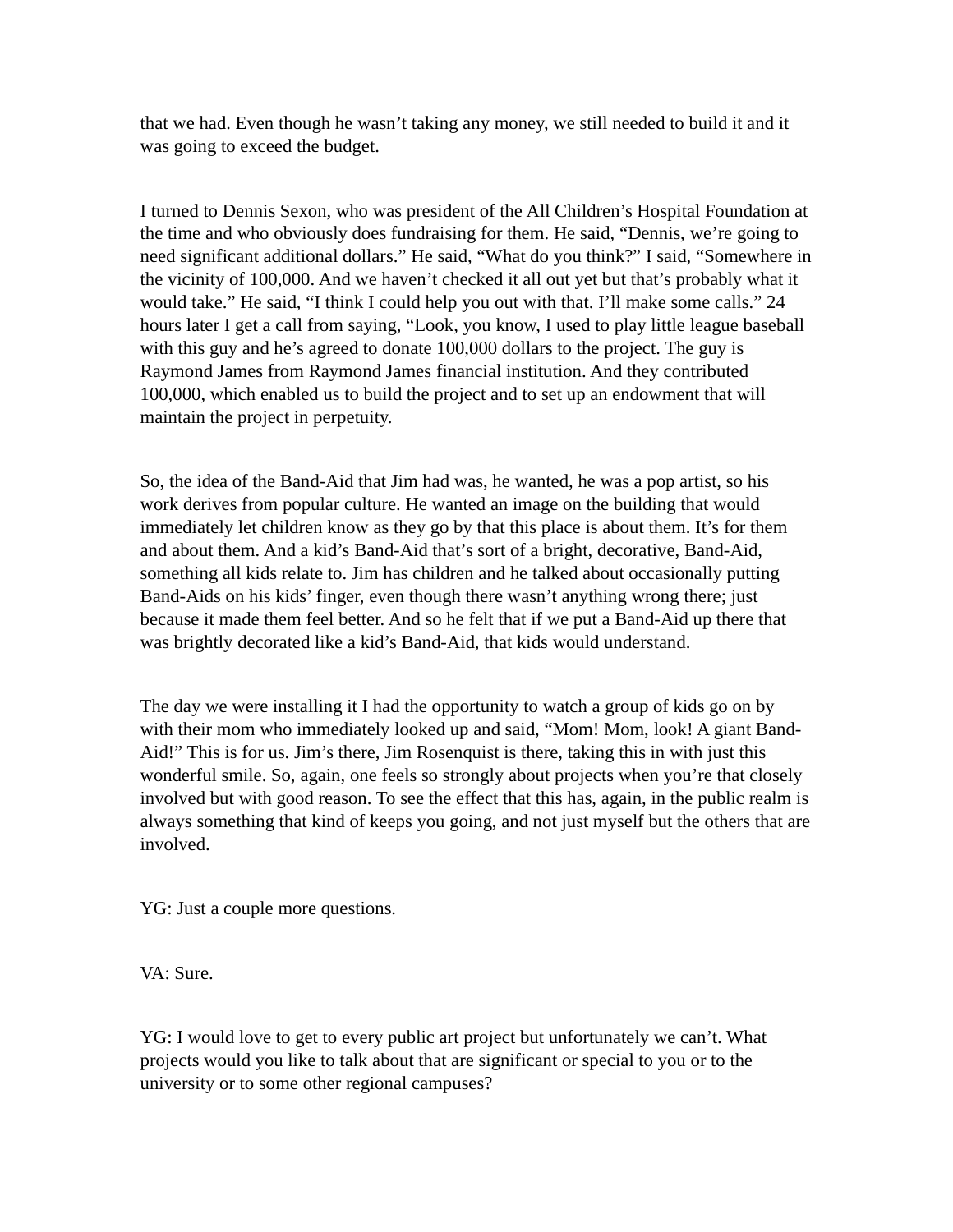that we had. Even though he wasn't taking any money, we still needed to build it and it was going to exceed the budget.

I turned to Dennis Sexon, who was president of the All Children's Hospital Foundation at the time and who obviously does fundraising for them. He said, "Dennis, we're going to need significant additional dollars." He said, "What do you think?" I said, "Somewhere in the vicinity of 100,000. And we haven't checked it all out yet but that's probably what it would take." He said, "I think I could help you out with that. I'll make some calls." 24 hours later I get a call from saying, "Look, you know, I used to play little league baseball with this guy and he's agreed to donate 100,000 dollars to the project. The guy is Raymond James from Raymond James financial institution. And they contributed 100,000, which enabled us to build the project and to set up an endowment that will maintain the project in perpetuity.

So, the idea of the Band-Aid that Jim had was, he wanted, he was a pop artist, so his work derives from popular culture. He wanted an image on the building that would immediately let children know as they go by that this place is about them. It's for them and about them. And a kid's Band-Aid that's sort of a bright, decorative, Band-Aid, something all kids relate to. Jim has children and he talked about occasionally putting Band-Aids on his kids' finger, even though there wasn't anything wrong there; just because it made them feel better. And so he felt that if we put a Band-Aid up there that was brightly decorated like a kid's Band-Aid, that kids would understand.

The day we were installing it I had the opportunity to watch a group of kids go on by with their mom who immediately looked up and said, "Mom! Mom, look! A giant Band-Aid!" This is for us. Jim's there, Jim Rosenquist is there, taking this in with just this wonderful smile. So, again, one feels so strongly about projects when you're that closely involved but with good reason. To see the effect that this has, again, in the public realm is always something that kind of keeps you going, and not just myself but the others that are involved.

YG: Just a couple more questions.

VA: Sure.

YG: I would love to get to every public art project but unfortunately we can't. What projects would you like to talk about that are significant or special to you or to the university or to some other regional campuses?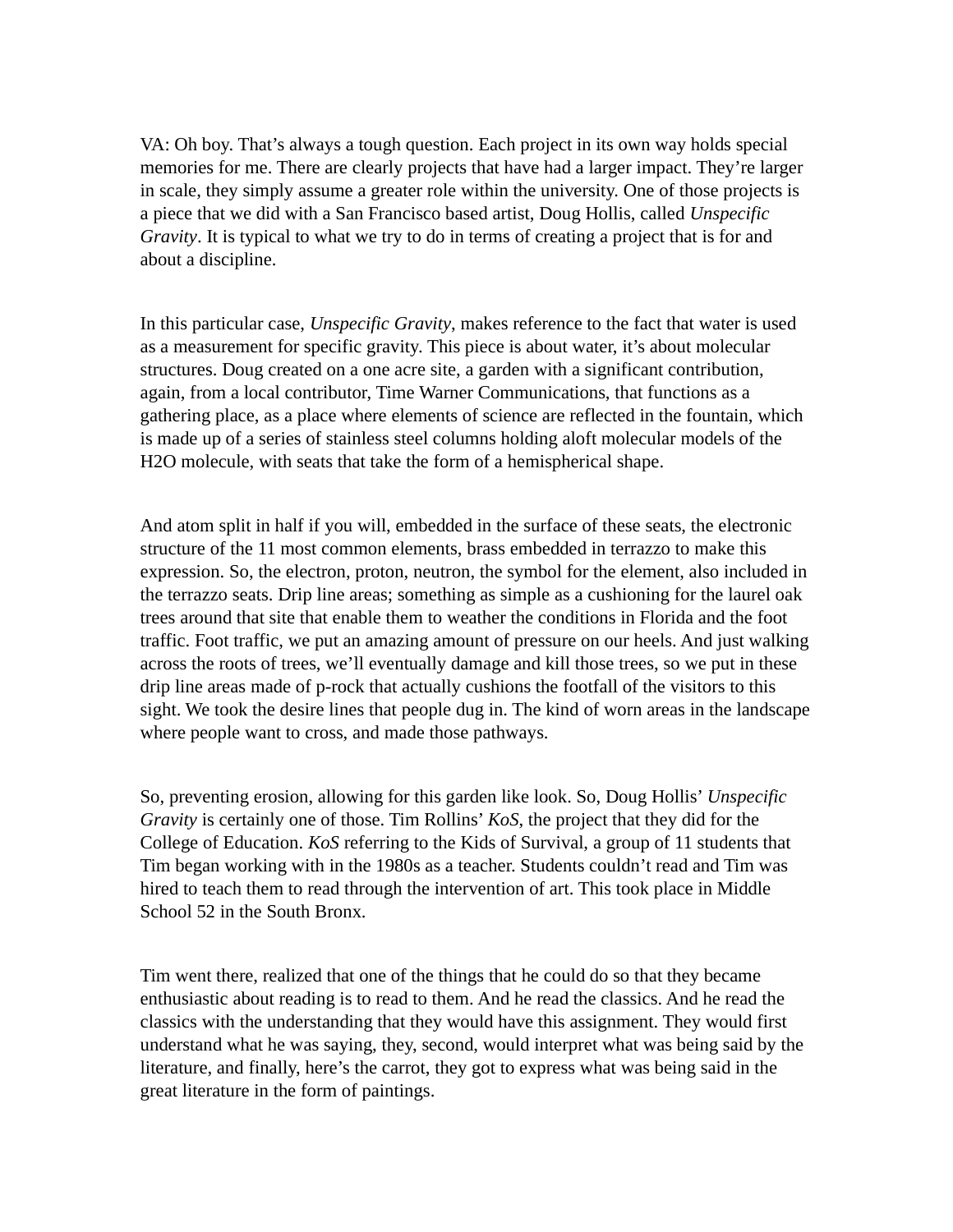VA: Oh boy. That's always a tough question. Each project in its own way holds special memories for me. There are clearly projects that have had a larger impact. They're larger in scale, they simply assume a greater role within the university. One of those projects is a piece that we did with a San Francisco based artist, Doug Hollis, called *Unspecific Gravity*. It is typical to what we try to do in terms of creating a project that is for and about a discipline.

In this particular case, *Unspecific Gravity*, makes reference to the fact that water is used as a measurement for specific gravity. This piece is about water, it's about molecular structures. Doug created on a one acre site, a garden with a significant contribution, again, from a local contributor, Time Warner Communications, that functions as a gathering place, as a place where elements of science are reflected in the fountain, which is made up of a series of stainless steel columns holding aloft molecular models of the H2O molecule, with seats that take the form of a hemispherical shape.

And atom split in half if you will, embedded in the surface of these seats, the electronic structure of the 11 most common elements, brass embedded in terrazzo to make this expression. So, the electron, proton, neutron, the symbol for the element, also included in the terrazzo seats. Drip line areas; something as simple as a cushioning for the laurel oak trees around that site that enable them to weather the conditions in Florida and the foot traffic. Foot traffic, we put an amazing amount of pressure on our heels. And just walking across the roots of trees, we'll eventually damage and kill those trees, so we put in these drip line areas made of p-rock that actually cushions the footfall of the visitors to this sight. We took the desire lines that people dug in. The kind of worn areas in the landscape where people want to cross, and made those pathways.

So, preventing erosion, allowing for this garden like look. So, Doug Hollis' *Unspecific Gravity* is certainly one of those. Tim Rollins' *KoS*, the project that they did for the College of Education. *KoS* referring to the Kids of Survival, a group of 11 students that Tim began working with in the 1980s as a teacher. Students couldn't read and Tim was hired to teach them to read through the intervention of art. This took place in Middle School 52 in the South Bronx.

Tim went there, realized that one of the things that he could do so that they became enthusiastic about reading is to read to them. And he read the classics. And he read the classics with the understanding that they would have this assignment. They would first understand what he was saying, they, second, would interpret what was being said by the literature, and finally, here's the carrot, they got to express what was being said in the great literature in the form of paintings.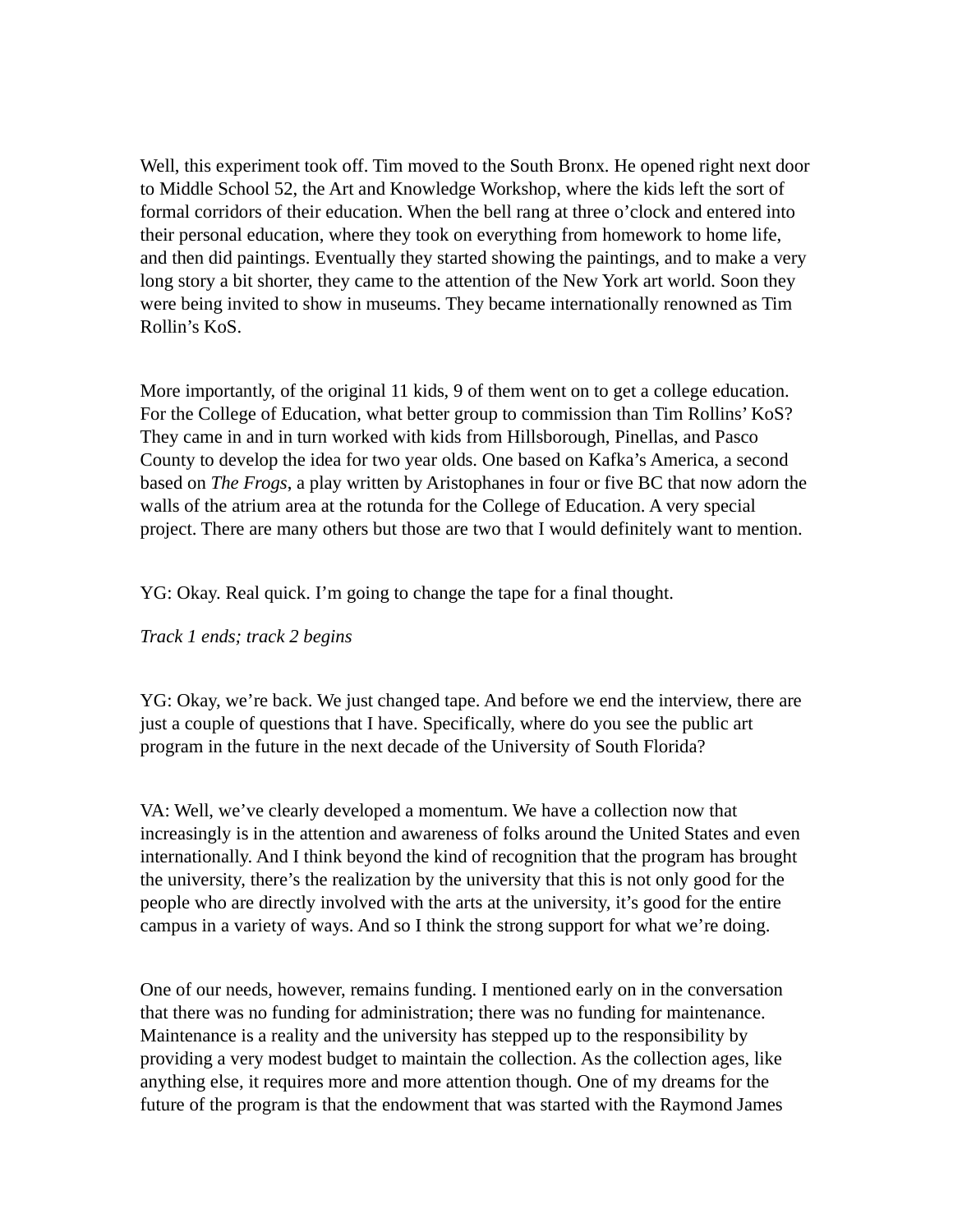Well, this experiment took off. Tim moved to the South Bronx. He opened right next door to Middle School 52, the Art and Knowledge Workshop, where the kids left the sort of formal corridors of their education. When the bell rang at three o'clock and entered into their personal education, where they took on everything from homework to home life, and then did paintings. Eventually they started showing the paintings, and to make a very long story a bit shorter, they came to the attention of the New York art world. Soon they were being invited to show in museums. They became internationally renowned as Tim Rollin's KoS.

More importantly, of the original 11 kids, 9 of them went on to get a college education. For the College of Education, what better group to commission than Tim Rollins' KoS? They came in and in turn worked with kids from Hillsborough, Pinellas, and Pasco County to develop the idea for two year olds. One based on Kafka's America, a second based on *The Frogs*, a play written by Aristophanes in four or five BC that now adorn the walls of the atrium area at the rotunda for the College of Education. A very special project. There are many others but those are two that I would definitely want to mention.

YG: Okay. Real quick. I'm going to change the tape for a final thought.

*Track 1 ends; track 2 begins*

YG: Okay, we're back. We just changed tape. And before we end the interview, there are just a couple of questions that I have. Specifically, where do you see the public art program in the future in the next decade of the University of South Florida?

VA: Well, we've clearly developed a momentum. We have a collection now that increasingly is in the attention and awareness of folks around the United States and even internationally. And I think beyond the kind of recognition that the program has brought the university, there's the realization by the university that this is not only good for the people who are directly involved with the arts at the university, it's good for the entire campus in a variety of ways. And so I think the strong support for what we're doing.

One of our needs, however, remains funding. I mentioned early on in the conversation that there was no funding for administration; there was no funding for maintenance. Maintenance is a reality and the university has stepped up to the responsibility by providing a very modest budget to maintain the collection. As the collection ages, like anything else, it requires more and more attention though. One of my dreams for the future of the program is that the endowment that was started with the Raymond James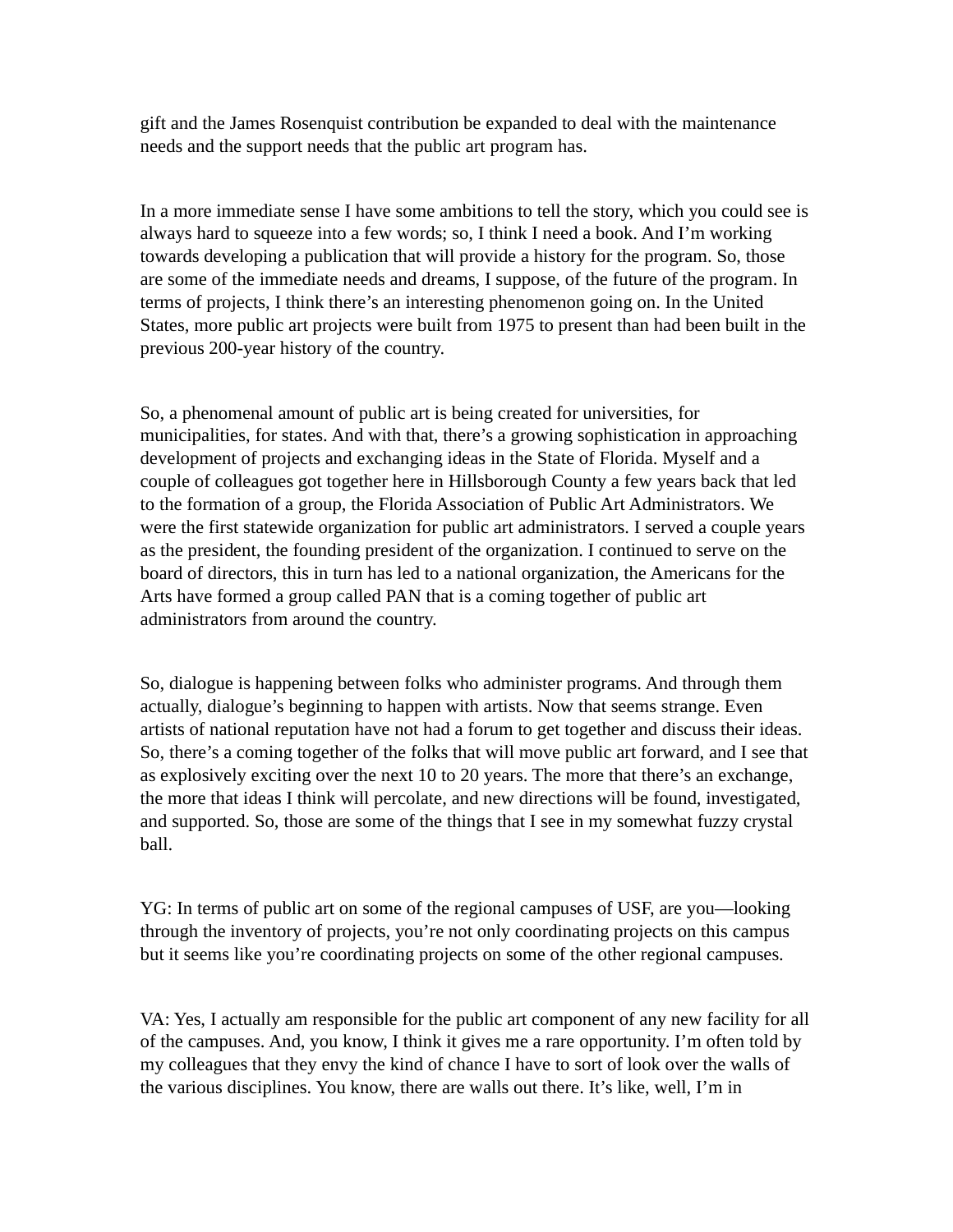gift and the James Rosenquist contribution be expanded to deal with the maintenance needs and the support needs that the public art program has.

In a more immediate sense I have some ambitions to tell the story, which you could see is always hard to squeeze into a few words; so, I think I need a book. And I'm working towards developing a publication that will provide a history for the program. So, those are some of the immediate needs and dreams, I suppose, of the future of the program. In terms of projects, I think there's an interesting phenomenon going on. In the United States, more public art projects were built from 1975 to present than had been built in the previous 200-year history of the country.

So, a phenomenal amount of public art is being created for universities, for municipalities, for states. And with that, there's a growing sophistication in approaching development of projects and exchanging ideas in the State of Florida. Myself and a couple of colleagues got together here in Hillsborough County a few years back that led to the formation of a group, the Florida Association of Public Art Administrators. We were the first statewide organization for public art administrators. I served a couple years as the president, the founding president of the organization. I continued to serve on the board of directors, this in turn has led to a national organization, the Americans for the Arts have formed a group called PAN that is a coming together of public art administrators from around the country.

So, dialogue is happening between folks who administer programs. And through them actually, dialogue's beginning to happen with artists. Now that seems strange. Even artists of national reputation have not had a forum to get together and discuss their ideas. So, there's a coming together of the folks that will move public art forward, and I see that as explosively exciting over the next 10 to 20 years. The more that there's an exchange, the more that ideas I think will percolate, and new directions will be found, investigated, and supported. So, those are some of the things that I see in my somewhat fuzzy crystal ball.

YG: In terms of public art on some of the regional campuses of USF, are you—looking through the inventory of projects, you're not only coordinating projects on this campus but it seems like you're coordinating projects on some of the other regional campuses.

VA: Yes, I actually am responsible for the public art component of any new facility for all of the campuses. And, you know, I think it gives me a rare opportunity. I'm often told by my colleagues that they envy the kind of chance I have to sort of look over the walls of the various disciplines. You know, there are walls out there. It's like, well, I'm in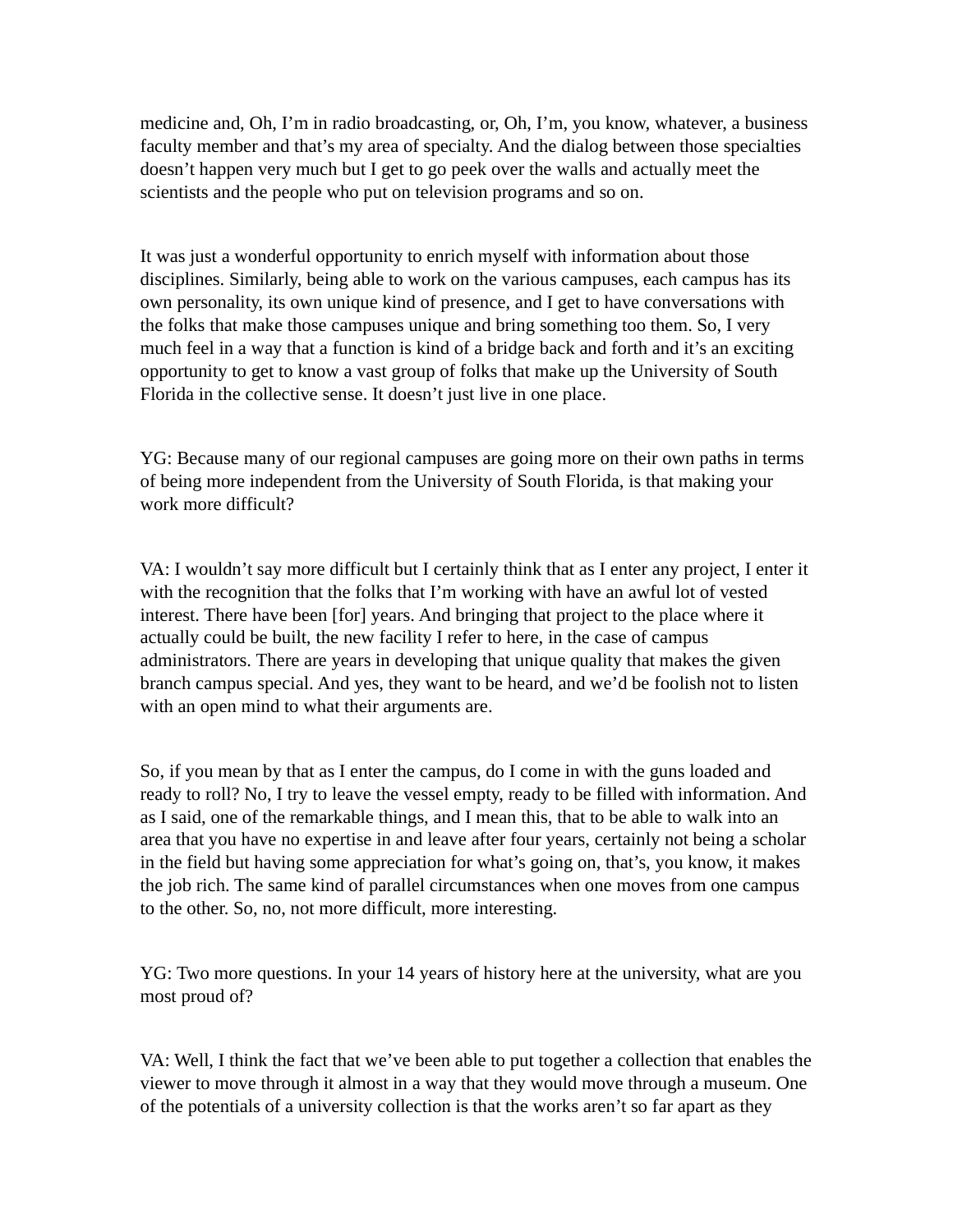medicine and, Oh, I'm in radio broadcasting, or, Oh, I'm, you know, whatever, a business faculty member and that's my area of specialty. And the dialog between those specialties doesn't happen very much but I get to go peek over the walls and actually meet the scientists and the people who put on television programs and so on.

It was just a wonderful opportunity to enrich myself with information about those disciplines. Similarly, being able to work on the various campuses, each campus has its own personality, its own unique kind of presence, and I get to have conversations with the folks that make those campuses unique and bring something too them. So, I very much feel in a way that a function is kind of a bridge back and forth and it's an exciting opportunity to get to know a vast group of folks that make up the University of South Florida in the collective sense. It doesn't just live in one place.

YG: Because many of our regional campuses are going more on their own paths in terms of being more independent from the University of South Florida, is that making your work more difficult?

VA: I wouldn't say more difficult but I certainly think that as I enter any project, I enter it with the recognition that the folks that I'm working with have an awful lot of vested interest. There have been [for] years. And bringing that project to the place where it actually could be built, the new facility I refer to here, in the case of campus administrators. There are years in developing that unique quality that makes the given branch campus special. And yes, they want to be heard, and we'd be foolish not to listen with an open mind to what their arguments are.

So, if you mean by that as I enter the campus, do I come in with the guns loaded and ready to roll? No, I try to leave the vessel empty, ready to be filled with information. And as I said, one of the remarkable things, and I mean this, that to be able to walk into an area that you have no expertise in and leave after four years, certainly not being a scholar in the field but having some appreciation for what's going on, that's, you know, it makes the job rich. The same kind of parallel circumstances when one moves from one campus to the other. So, no, not more difficult, more interesting.

YG: Two more questions. In your 14 years of history here at the university, what are you most proud of?

VA: Well, I think the fact that we've been able to put together a collection that enables the viewer to move through it almost in a way that they would move through a museum. One of the potentials of a university collection is that the works aren't so far apart as they